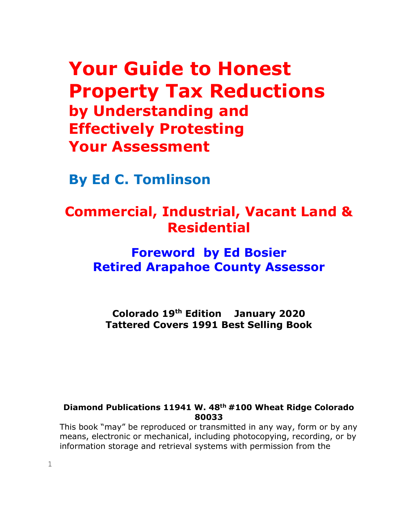# **Your Guide to Honest Property Tax Reductions by Understanding and Effectively Protesting Your Assessment**

**By Ed C. Tomlinson**

## **Commercial, Industrial, Vacant Land & Residential**

## **Foreword by Ed Bosier Retired Arapahoe County Assessor**

**Colorado 19 th Edition January 2020 Tattered Covers 1991 Best Selling Book**

#### **Diamond Publications 11941 W. 48th #100 Wheat Ridge Colorado 80033**

This book "may" be reproduced or transmitted in any way, form or by any means, electronic or mechanical, including photocopying, recording, or by information storage and retrieval systems with permission from the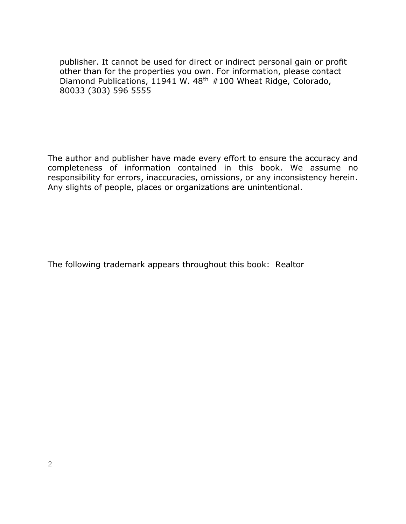publisher. It cannot be used for direct or indirect personal gain or profit other than for the properties you own. For information, please contact Diamond Publications, 11941 W. 48<sup>th</sup> #100 Wheat Ridge, Colorado, 80033 (303) 596 5555

The author and publisher have made every effort to ensure the accuracy and completeness of information contained in this book. We assume no responsibility for errors, inaccuracies, omissions, or any inconsistency herein. Any slights of people, places or organizations are unintentional.

The following trademark appears throughout this book: Realtor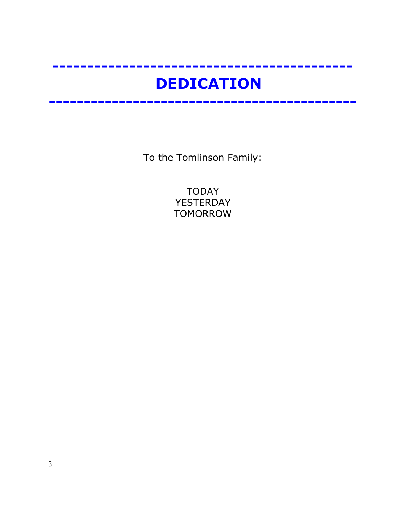# **DEDICATION**

**-------------------------------------------**

**--------------------------------------------**

To the Tomlinson Family:

TODAY YESTERDAY TOMORROW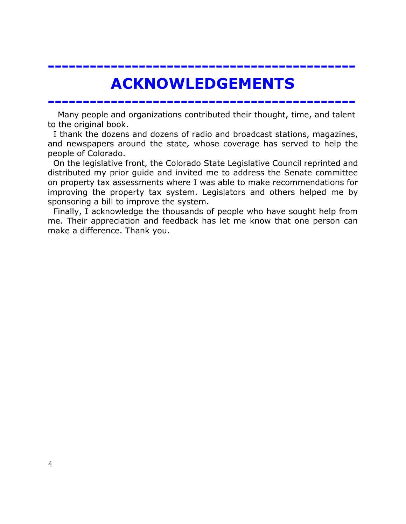# **ACKNOWLEDGEMENTS**

**--------------------------------------------**

Many people and organizations contributed their thought, time, and talent to the original book.

**--------------------------------------------**

 I thank the dozens and dozens of radio and broadcast stations, magazines, and newspapers around the state*,* whose coverage has served to help the people of Colorado.

 On the legislative front, the Colorado State Legislative Council reprinted and distributed my prior guide and invited me to address the Senate committee on property tax assessments where I was able to make recommendations for improving the property tax system. Legislators and others helped me by sponsoring a bill to improve the system.

 Finally, I acknowledge the thousands of people who have sought help from me. Their appreciation and feedback has let me know that one person can make a difference. Thank you.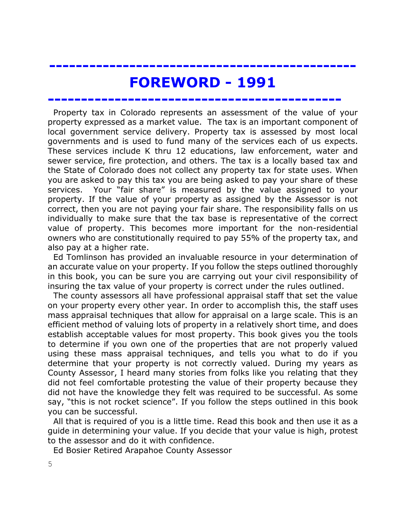## **FOREWORD - 1991**

**--------------------------------------------**

**----------------------------------------------**

 Property tax in Colorado represents an assessment of the value of your property expressed as a market value. The tax is an important component of local government service delivery. Property tax is assessed by most local governments and is used to fund many of the services each of us expects. These services include K thru 12 educations, law enforcement, water and sewer service, fire protection, and others. The tax is a locally based tax and the State of Colorado does not collect any property tax for state uses. When you are asked to pay this tax you are being asked to pay your share of these services. Your "fair share" is measured by the value assigned to your property. If the value of your property as assigned by the Assessor is not correct, then you are not paying your fair share. The responsibility falls on us individually to make sure that the tax base is representative of the correct value of property. This becomes more important for the non-residential owners who are constitutionally required to pay 55% of the property tax, and also pay at a higher rate.

 Ed Tomlinson has provided an invaluable resource in your determination of an accurate value on your property. If you follow the steps outlined thoroughly in this book, you can be sure you are carrying out your civil responsibility of insuring the tax value of your property is correct under the rules outlined.

 The county assessors all have professional appraisal staff that set the value on your property every other year. In order to accomplish this, the staff uses mass appraisal techniques that allow for appraisal on a large scale. This is an efficient method of valuing lots of property in a relatively short time, and does establish acceptable values for most property. This book gives you the tools to determine if you own one of the properties that are not properly valued using these mass appraisal techniques, and tells you what to do if you determine that your property is not correctly valued. During my years as County Assessor, I heard many stories from folks like you relating that they did not feel comfortable protesting the value of their property because they did not have the knowledge they felt was required to be successful. As some say, "this is not rocket science". If you follow the steps outlined in this book you can be successful.

 All that is required of you is a little time. Read this book and then use it as a guide in determining your value. If you decide that your value is high, protest to the assessor and do it with confidence.

Ed Bosier Retired Arapahoe County Assessor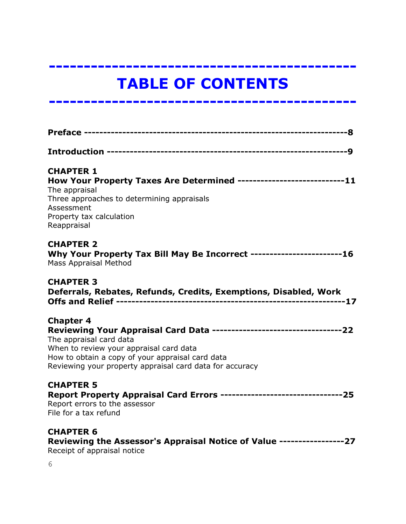# **TABLE OF CONTENTS**

**--------------------------------------------**

**--------------------------------------------**

| <b>CHAPTER 1</b><br>How Your Property Taxes Are Determined ---------------------------11<br>The appraisal<br>Three approaches to determining appraisals<br>Assessment<br>Property tax calculation<br>Reappraisal                                                                 |
|----------------------------------------------------------------------------------------------------------------------------------------------------------------------------------------------------------------------------------------------------------------------------------|
| <b>CHAPTER 2</b><br>Why Your Property Tax Bill May Be Incorrect -----------------------16<br><b>Mass Appraisal Method</b>                                                                                                                                                        |
| <b>CHAPTER 3</b><br>Deferrals, Rebates, Refunds, Credits, Exemptions, Disabled, Work                                                                                                                                                                                             |
| <b>Chapter 4</b><br>Reviewing Your Appraisal Card Data ---------------------------------22<br>The appraisal card data<br>When to review your appraisal card data<br>How to obtain a copy of your appraisal card data<br>Reviewing your property appraisal card data for accuracy |
| <b>CHAPTER 5</b><br>Report Property Appraisal Card Errors --------------------------------25<br>Report errors to the assessor<br>File for a tax refund                                                                                                                           |
| <b>CHAPTER 6</b><br>Reviewing the Assessor's Appraisal Notice of Value -----------------27<br>Receipt of appraisal notice                                                                                                                                                        |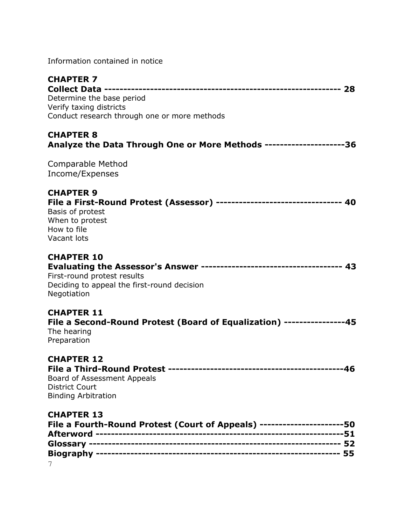Information contained in notice

| <b>CHAPTER 7</b>                                                          |  |
|---------------------------------------------------------------------------|--|
| Determine the base period                                                 |  |
| Verify taxing districts                                                   |  |
| Conduct research through one or more methods                              |  |
|                                                                           |  |
| <b>CHAPTER 8</b>                                                          |  |
| Analyze the Data Through One or More Methods ---------------------36      |  |
| Comparable Method                                                         |  |
| Income/Expenses                                                           |  |
|                                                                           |  |
| <b>CHAPTER 9</b>                                                          |  |
| File a First-Round Protest (Assessor) -------------------------------- 40 |  |
| Basis of protest                                                          |  |
| When to protest                                                           |  |
| How to file<br>Vacant lots                                                |  |
|                                                                           |  |
| <b>CHAPTER 10</b>                                                         |  |
|                                                                           |  |
| First-round protest results                                               |  |
| Deciding to appeal the first-round decision                               |  |
| Negotiation                                                               |  |
| <b>CHAPTER 11</b>                                                         |  |
| File a Second-Round Protest (Board of Equalization) ----------------45    |  |
| The hearing                                                               |  |
| Preparation                                                               |  |
|                                                                           |  |
| <b>CHAPTER 12</b>                                                         |  |
| Board of Assessment Appeals                                               |  |
| <b>District Court</b>                                                     |  |
| <b>Binding Arbitration</b>                                                |  |
|                                                                           |  |
| <b>CHAPTER 13</b>                                                         |  |
| File a Fourth-Round Protest (Court of Appeals) ----------------------50   |  |
|                                                                           |  |
|                                                                           |  |
|                                                                           |  |
|                                                                           |  |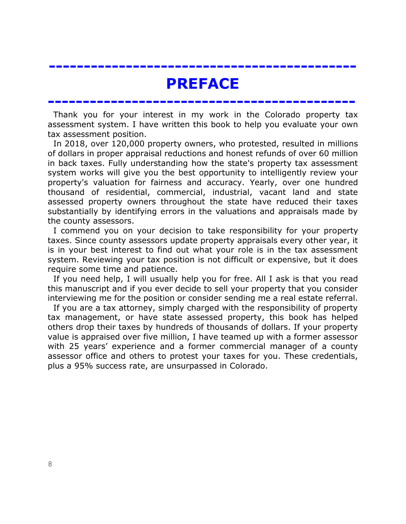## **PREFACE**

**--------------------------------------------**

**--------------------------------------------**

 Thank you for your interest in my work in the Colorado property tax assessment system. I have written this book to help you evaluate your own tax assessment position.

 In 2018, over 120,000 property owners, who protested, resulted in millions of dollars in proper appraisal reductions and honest refunds of over 60 million in back taxes. Fully understanding how the state's property tax assessment system works will give you the best opportunity to intelligently review your property's valuation for fairness and accuracy. Yearly, over one hundred thousand of residential, commercial, industrial, vacant land and state assessed property owners throughout the state have reduced their taxes substantially by identifying errors in the valuations and appraisals made by the county assessors.

 I commend you on your decision to take responsibility for your property taxes. Since county assessors update property appraisals every other year, it is in your best interest to find out what your role is in the tax assessment system. Reviewing your tax position is not difficult or expensive, but it does require some time and patience.

 If you need help, I will usually help you for free. All I ask is that you read this manuscript and if you ever decide to sell your property that you consider interviewing me for the position or consider sending me a real estate referral.

 If you are a tax attorney, simply charged with the responsibility of property tax management, or have state assessed property, this book has helped others drop their taxes by hundreds of thousands of dollars. If your property value is appraised over five million, I have teamed up with a former assessor with 25 years' experience and a former commercial manager of a county assessor office and others to protest your taxes for you. These credentials, plus a 95% success rate, are unsurpassed in Colorado.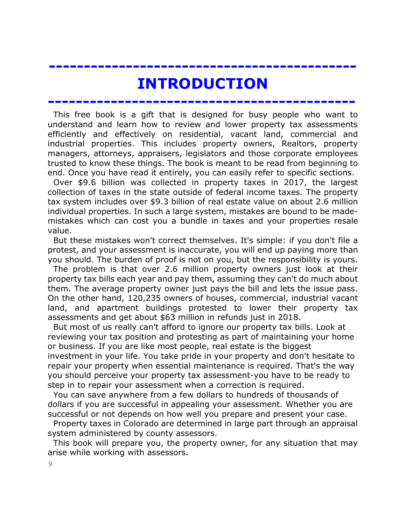## **INTRODUCTION**

**--------------------------------------------**

**--------------------------------------------**

 This free book is a gift that is designed for busy people who want to understand and learn how to review and lower property tax assessments efficiently and effectively on residential, vacant land, commercial and industrial properties. This includes property owners, Realtors, property managers, attorneys, appraisers, legislators and those corporate employees trusted to know these things. The book is meant to be read from beginning to end. Once you have read it entirely, you can easily refer to specific sections.

 Over \$9.6 billion was collected in property taxes in 2017, the largest collection of taxes in the state outside of federal income taxes. The property tax system includes over \$9.3 billion of real estate value on about 2.6 million individual properties. In such a large system, mistakes are bound to be mademistakes which can cost you a bundle in taxes and your properties resale value.

 But these mistakes won't correct themselves. It's simple: if you don't file a protest, and your assessment is inaccurate, you will end up paying more than you should. The burden of proof is not on you, but the responsibility is yours.

 The problem is that over 2.6 million property owners just look at their property tax bills each year and pay them, assuming they can't do much about them. The average property owner just pays the bill and lets the issue pass. On the other hand, 120,235 owners of houses, commercial, industrial vacant land, and apartment buildings protested to lower their property tax assessments and get about \$63 million in refunds just in 2018.

 But most of us really can't afford to ignore our property tax bills. Look at reviewing your tax position and protesting as part of maintaining your home or business. If you are like most people, real estate is the biggest investment in your life. You take pride in your property and don't hesitate to repair your property when essential maintenance is required. That's the way you should perceive your property tax assessment-you have to be ready to step in to repair your assessment when a correction is required.

 You can save anywhere from a few dollars to hundreds of thousands of dollars if you are successful in appealing your assessment. Whether you are successful or not depends on how well you prepare and present your case.

Property taxes in Colorado are determined in large part through an appraisal system administered by county assessors.

 This book will prepare you, the property owner, for any situation that may arise while working with assessors.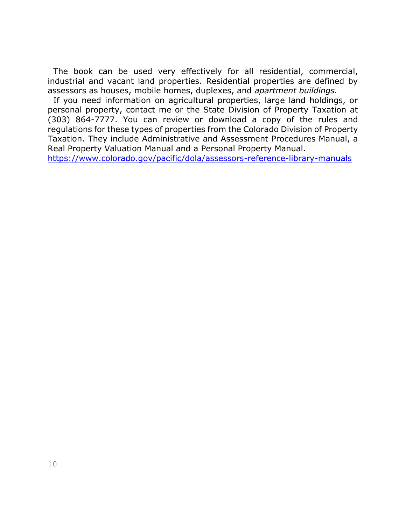The book can be used very effectively for all residential, commercial, industrial and vacant land properties. Residential properties are defined by assessors as houses, mobile homes, duplexes, and *apartment buildings.*

 If you need information on agricultural properties, large land holdings, or personal property, contact me or the State Division of Property Taxation at (303) 864-7777. You can review or download a copy of the rules and regulations for these types of properties from the Colorado Division of Property Taxation. They include Administrative and Assessment Procedures Manual, a Real Property Valuation Manual and a Personal Property Manual.

<https://www.colorado.gov/pacific/dola/assessors-reference-library-manuals>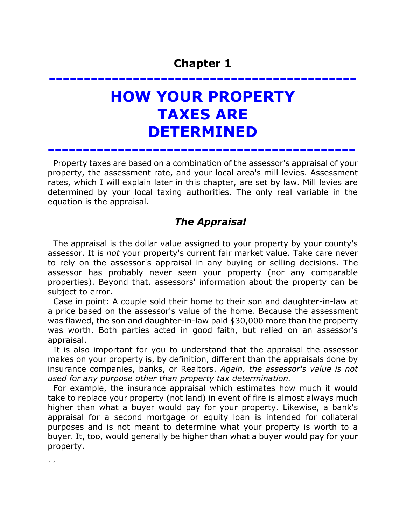# **-------------------------------------------- HOW YOUR PROPERTY TAXES ARE DETERMINED**

**--------------------------------------------**

 Property taxes are based on a combination of the assessor's appraisal of your property, the assessment rate, and your local area's mill levies. Assessment rates, which I will explain later in this chapter, are set by law. Mill levies are determined by your local taxing authorities. The only real variable in the equation is the appraisal.

## *The Appraisal*

 The appraisal is the dollar value assigned to your property by your county's assessor. It is *not* your property's current fair market value. Take care never to rely on the assessor's appraisal in any buying or selling decisions. The assessor has probably never seen your property (nor any comparable properties). Beyond that, assessors' information about the property can be subject to error.

 Case in point: A couple sold their home to their son and daughter-in-law at a price based on the assessor's value of the home. Because the assessment was flawed, the son and daughter-in-law paid \$30,000 more than the property was worth. Both parties acted in good faith, but relied on an assessor's appraisal.

 It is also important for you to understand that the appraisal the assessor makes on your property is, by definition, different than the appraisals done by insurance companies, banks, or Realtors. *Again, the assessor's value is not used for any purpose other than property tax determination.*

 For example, the insurance appraisal which estimates how much it would take to replace your property (not land) in event of fire is almost always much higher than what a buyer would pay for your property. Likewise, a bank's appraisal for a second mortgage or equity loan is intended for collateral purposes and is not meant to determine what your property is worth to a buyer. It, too, would generally be higher than what a buyer would pay for your property.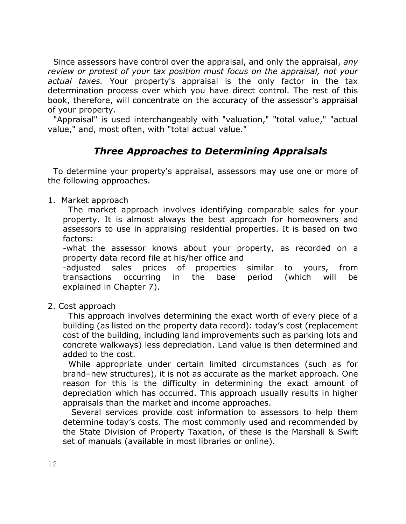Since assessors have control over the appraisal, and only the appraisal, *any review or protest of your tax position must focus on the appraisal, not your actual taxes.* Your property's appraisal is the only factor in the tax determination process over which you have direct control. The rest of this book, therefore, will concentrate on the accuracy of the assessor's appraisal of your property.

 "Appraisal" is used interchangeably with "valuation," "total value," "actual value," and, most often, with "total actual value."

## *Three Approaches to Determining Appraisals*

 To determine your property's appraisal, assessors may use one or more of the following approaches.

1. Market approach

The market approach involves identifying comparable sales for your property. It is almost always the best approach for homeowners and assessors to use in appraising residential properties. It is based on two factors:

-what the assessor knows about your property, as recorded on a property data record file at his/her office and

-adjusted sales prices of properties similar to yours, from transactions occurring in the base period (which will be explained in Chapter 7).

2. Cost approach

 This approach involves determining the exact worth of every piece of a building (as listed on the property data record): today's cost (replacement cost of the building, including land improvements such as parking lots and concrete walkways) less depreciation. Land value is then determined and added to the cost.

 While appropriate under certain limited circumstances (such as for brand–new structures), it is not as accurate as the market approach. One reason for this is the difficulty in determining the exact amount of depreciation which has occurred. This approach usually results in higher appraisals than the market and income approaches.

 Several services provide cost information to assessors to help them determine today's costs. The most commonly used and recommended by the State Division of Property Taxation, of these is the Marshall & Swift set of manuals (available in most libraries or online).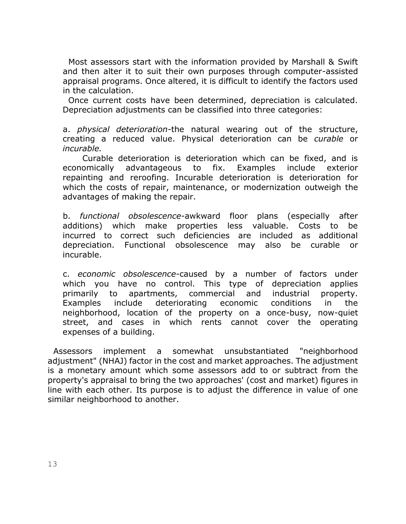Most assessors start with the information provided by Marshall & Swift and then alter it to suit their own purposes through computer-assisted appraisal programs. Once altered, it is difficult to identify the factors used in the calculation.

 Once current costs have been determined, depreciation is calculated. Depreciation adjustments can be classified into three categories:

a. *physical deterioration-*the natural wearing out of the structure, creating a reduced value. Physical deterioration can be *curable* or *incurable.* 

 Curable deterioration is deterioration which can be fixed, and is economically advantageous to fix. Examples include exterior repainting and reroofing. Incurable deterioration is deterioration for which the costs of repair, maintenance, or modernization outweigh the advantages of making the repair.

b. *functional obsolescence*-awkward floor plans (especially after additions) which make properties less valuable. Costs to be incurred to correct such deficiencies are included as additional depreciation. Functional obsolescence may also be curable or incurable.

c. *economic obsolescence*-caused by a number of factors under which you have no control. This type of depreciation applies primarily to apartments, commercial and industrial property. Examples include deteriorating economic conditions in the neighborhood, location of the property on a once-busy, now-quiet street, and cases in which rents cannot cover the operating expenses of a building.

 Assessors implement a somewhat unsubstantiated "neighborhood adjustment" (NHAJ) factor in the cost and market approaches. The adjustment is a monetary amount which some assessors add to or subtract from the property's appraisal to bring the two approaches' (cost and market) figures in line with each other. Its purpose is to adjust the difference in value of one similar neighborhood to another.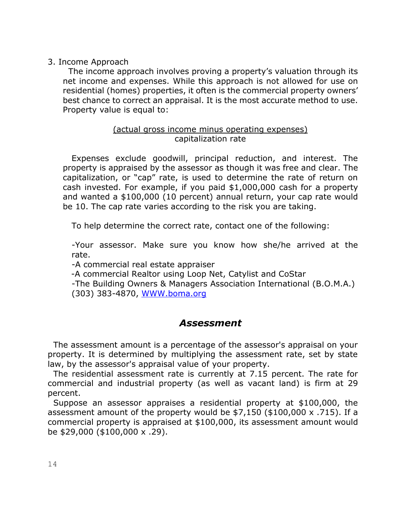#### 3. Income Approach

 The income approach involves proving a property's valuation through its net income and expenses. While this approach is not allowed for use on residential (homes) properties, it often is the commercial property owners' best chance to correct an appraisal. It is the most accurate method to use. Property value is equal to:

#### (actual gross income minus operating expenses) capitalization rate

Expenses exclude goodwill, principal reduction, and interest. The property is appraised by the assessor as though it was free and clear. The capitalization, or "cap" rate, is used to determine the rate of return on cash invested. For example, if you paid \$1,000,000 cash for a property and wanted a \$100,000 (10 percent) annual return, your cap rate would be 10. The cap rate varies according to the risk you are taking.

To help determine the correct rate, contact one of the following:

-Your assessor. Make sure you know how she/he arrived at the rate.

-A commercial real estate appraiser

-A commercial Realtor using Loop Net, Catylist and CoStar

-The Building Owners & Managers Association International (B.O.M.A.) (303) 383-4870, [WWW.boma.org](http://www.boma.org/)

#### *Assessment*

 The assessment amount is a percentage of the assessor's appraisal on your property. It is determined by multiplying the assessment rate, set by state law, by the assessor's appraisal value of your property.

 The residential assessment rate is currently at 7.15 percent. The rate for commercial and industrial property (as well as vacant land) is firm at 29 percent.

 Suppose an assessor appraises a residential property at \$100,000, the assessment amount of the property would be \$7,150 (\$100,000 x .715). If a commercial property is appraised at \$100,000, its assessment amount would be \$29,000 (\$100,000 x .29).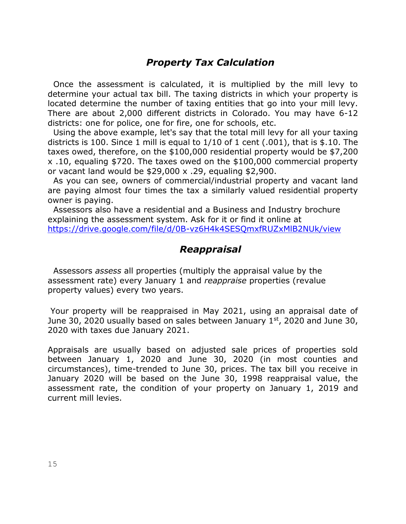## *Property Tax Calculation*

 Once the assessment is calculated, it is multiplied by the mill levy to determine your actual tax bill. The taxing districts in which your property is located determine the number of taxing entities that go into your mill levy. There are about 2,000 different districts in Colorado. You may have 6-12 districts: one for police, one for fire, one for schools, etc.

 Using the above example, let's say that the total mill levy for all your taxing districts is 100. Since 1 mill is equal to 1/10 of 1 cent (.001), that is \$.10. The taxes owed, therefore, on the \$100,000 residential property would be \$7,200 x .10, equaling \$720. The taxes owed on the \$100,000 commercial property or vacant land would be \$29,000 x .29, equaling \$2,900.

 As you can see, owners of commercial/industrial property and vacant land are paying almost four times the tax a similarly valued residential property owner is paying.

 Assessors also have a residential and a Business and Industry brochure explaining the assessment system. Ask for it or find it online at <https://drive.google.com/file/d/0B-vz6H4k4SESQmxfRUZxMlB2NUk/view>

### *Reappraisal*

 Assessors *assess* all properties (multiply the appraisal value by the assessment rate) every January 1 and *reappraise* properties (revalue property values) every two years.

Your property will be reappraised in May 2021, using an appraisal date of June 30, 2020 usually based on sales between January 1st, 2020 and June 30, 2020 with taxes due January 2021.

Appraisals are usually based on adjusted sale prices of properties sold between January 1, 2020 and June 30, 2020 (in most counties and circumstances), time-trended to June 30, prices. The tax bill you receive in January 2020 will be based on the June 30, 1998 reappraisal value, the assessment rate, the condition of your property on January 1, 2019 and current mill levies.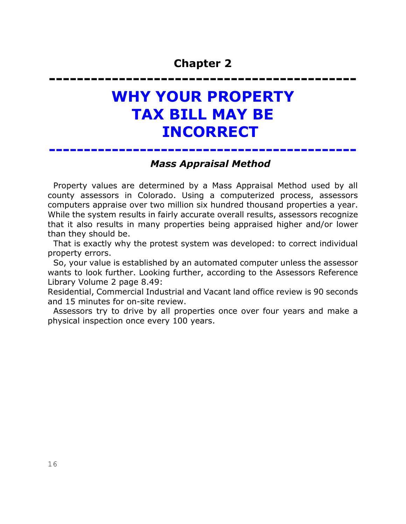# **-------------------------------------------- WHY YOUR PROPERTY TAX BILL MAY BE INCORRECT**

**--------------------------------------------**

### *Mass Appraisal Method*

 Property values are determined by a Mass Appraisal Method used by all county assessors in Colorado. Using a computerized process, assessors computers appraise over two million six hundred thousand properties a year. While the system results in fairly accurate overall results, assessors recognize that it also results in many properties being appraised higher and/or lower than they should be.

 That is exactly why the protest system was developed: to correct individual property errors.

 So, your value is established by an automated computer unless the assessor wants to look further. Looking further, according to the Assessors Reference Library Volume 2 page 8.49:

Residential, Commercial Industrial and Vacant land office review is 90 seconds and 15 minutes for on-site review.

 Assessors try to drive by all properties once over four years and make a physical inspection once every 100 years.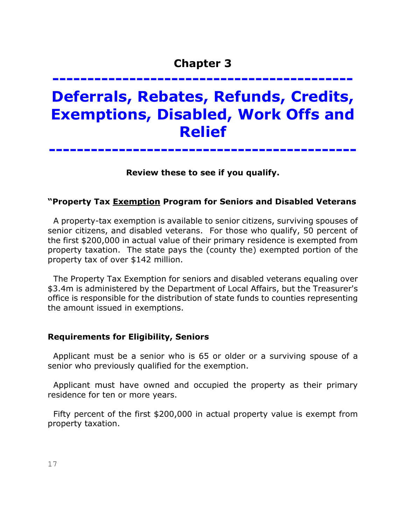# **------------------------------------------- Deferrals, Rebates, Refunds, Credits, Exemptions, Disabled, Work Offs and Relief**

**--------------------------------------------**

**Review these to see if you qualify.**

#### **"Property Tax Exemption Program for Seniors and Disabled Veterans**

 A property-tax exemption is available to senior citizens, surviving spouses of senior citizens, and disabled veterans. For those who qualify, 50 percent of the first \$200,000 in actual value of their primary residence is exempted from property taxation. The state pays the (county the) exempted portion of the property tax of over \$142 million.

 The Property Tax Exemption for seniors and disabled veterans equaling over \$3.4m is administered by the Department of Local Affairs, but the Treasurer's office is responsible for the distribution of state funds to counties representing the amount issued in exemptions.

#### **Requirements for Eligibility, Seniors**

Applicant must be a senior who is 65 or older or a surviving spouse of a senior who previously qualified for the exemption.

 Applicant must have owned and occupied the property as their primary residence for ten or more years.

 Fifty percent of the first \$200,000 in actual property value is exempt from property taxation.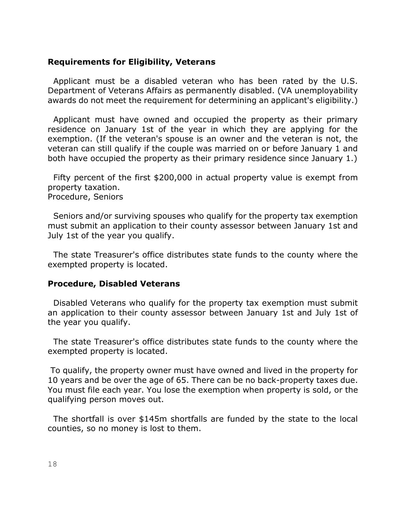#### **Requirements for Eligibility, Veterans**

 Applicant must be a disabled veteran who has been rated by the U.S. Department of Veterans Affairs as permanently disabled. (VA unemployability awards do not meet the requirement for determining an applicant's eligibility.)

 Applicant must have owned and occupied the property as their primary residence on January 1st of the year in which they are applying for the exemption. (If the veteran's spouse is an owner and the veteran is not, the veteran can still qualify if the couple was married on or before January 1 and both have occupied the property as their primary residence since January 1.)

 Fifty percent of the first \$200,000 in actual property value is exempt from property taxation. Procedure, Seniors

 Seniors and/or surviving spouses who qualify for the property tax exemption must submit an application to their county assessor between January 1st and July 1st of the year you qualify.

 The state Treasurer's office distributes state funds to the county where the exempted property is located.

#### **Procedure, Disabled Veterans**

 Disabled Veterans who qualify for the property tax exemption must submit an application to their county assessor between January 1st and July 1st of the year you qualify.

 The state Treasurer's office distributes state funds to the county where the exempted property is located.

To qualify, the property owner must have owned and lived in the property for 10 years and be over the age of 65. There can be no back-property taxes due. You must file each year. You lose the exemption when property is sold, or the qualifying person moves out.

 The shortfall is over \$145m shortfalls are funded by the state to the local counties, so no money is lost to them.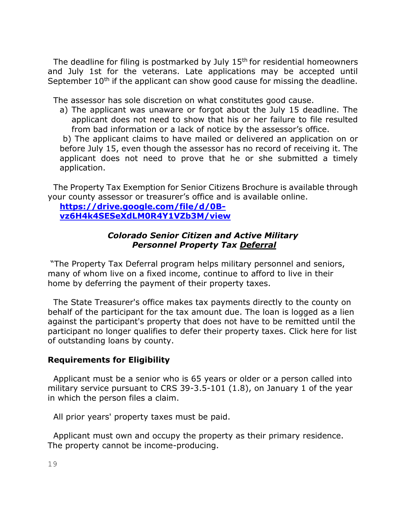The deadline for filing is postmarked by July  $15<sup>th</sup>$  for residential homeowners and July 1st for the veterans. Late applications may be accepted until September 10<sup>th</sup> if the applicant can show good cause for missing the deadline.

The assessor has sole discretion on what constitutes good cause.

a) The applicant was unaware or forgot about the July 15 deadline. The applicant does not need to show that his or her failure to file resulted from bad information or a lack of notice by the assessor's office.

b) The applicant claims to have mailed or delivered an application on or before July 15, even though the assessor has no record of receiving it. The applicant does not need to prove that he or she submitted a timely application.

 The Property Tax Exemption for Senior Citizens Brochure is available through your county assessor or treasurer's office and [is](http://www.colorado.gov/cs/Satellite?blobcol=urldata&blobheadername1=Content-Disposition&blobheadername2=Content-Type&blobheadervalue1=inline%3B+filename%3D%22Property+Tax+Exemption+for+Senior+Citizensin+Colorado.pdf%22&blobheadervalue2=application%2Fpdf&blobkey=id&blobtable=MungoBlobs&blobwhere=1251923740511&ssbinary=true) available online.

#### **[https://drive.google.com/file/d/0B](https://drive.google.com/file/d/0B-vz6H4k4SESeXdLM0R4Y1VZb3M/view)[vz6H4k4SESeXdLM0R4Y1VZb3M/view](https://drive.google.com/file/d/0B-vz6H4k4SESeXdLM0R4Y1VZb3M/view)**

#### *Colorado Senior Citizen and Active Military Personnel Property Tax Deferral*

"The Property Tax Deferral program helps military personnel and seniors, many of whom live on a fixed income, continue to afford to live in their home by deferring the payment of their property taxes.

 The State Treasurer's office makes tax payments directly to the county on behalf of the participant for the tax amount due. The loan is logged as a lien against the participant's property that does not have to be remitted until the participant no longer qualifies to defer their property taxes. Click here for list of outstanding loans by county.

#### **Requirements for Eligibility**

 Applicant must be a senior who is 65 years or older or a person called into military service pursuant to CRS 39-3.5-101 (1.8), on January 1 of the year in which the person files a claim.

All prior years' property taxes must be paid.

 Applicant must own and occupy the property as their primary residence. The property cannot be income-producing.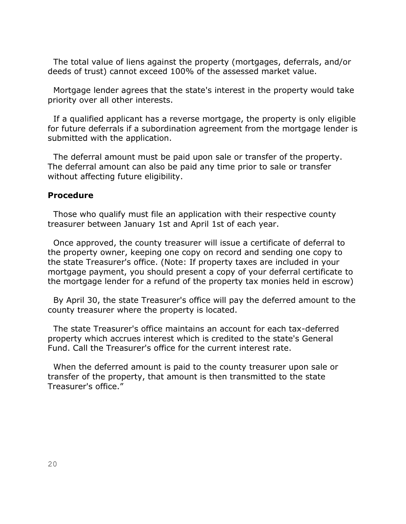The total value of liens against the property (mortgages, deferrals, and/or deeds of trust) cannot exceed 100% of the assessed market value.

 Mortgage lender agrees that the state's interest in the property would take priority over all other interests.

 If a qualified applicant has a reverse mortgage, the property is only eligible for future deferrals if a subordination agreement from the mortgage lender is submitted with the application.

 The deferral amount must be paid upon sale or transfer of the property. The deferral amount can also be paid any time prior to sale or transfer without affecting future eligibility.

#### **Procedure**

 Those who qualify must file an application with their respective county treasurer between January 1st and April 1st of each year.

 Once approved, the county treasurer will issue a certificate of deferral to the property owner, keeping one copy on record and sending one copy to the state Treasurer's office. (Note: If property taxes are included in your mortgage payment, you should present a copy of your deferral certificate to the mortgage lender for a refund of the property tax monies held in escrow)

 By April 30, the state Treasurer's office will pay the deferred amount to the county treasurer where the property is located.

 The state Treasurer's office maintains an account for each tax-deferred property which accrues interest which is credited to the state's General Fund. Call the Treasurer's office for the current interest rate.

 When the deferred amount is paid to the county treasurer upon sale or transfer of the property, that amount is then transmitted to the state Treasurer's office."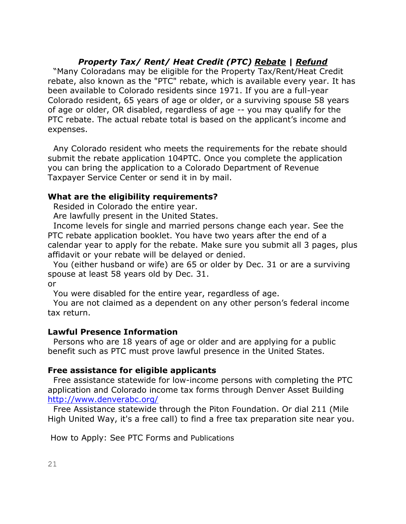#### *Property Tax/ Rent/ Heat Credit (PTC) Rebate | Refund*

 "Many Coloradans may be eligible for the Property Tax/Rent/Heat Credit rebate, also known as the "PTC" rebate, which is available every year. It has been available to Colorado residents since 1971. If you are a full-year Colorado resident, 65 years of age or older, or a surviving spouse 58 years of age or older, OR disabled, regardless of age -- you may qualify for the PTC rebate. The actual rebate total is based on the applicant's income and expenses.

 Any Colorado resident who meets the requirements for the rebate should submit the rebate application 104PTC. Once you complete the application you can bring the application to a Colorado Department of Revenue Taxpayer Service Center or send it in by mail.

#### **What are the eligibility requirements?**

Resided in Colorado the entire year.

Are lawfully present in the United States.

 Income levels for single and married persons change each year. See the PTC rebate application booklet. You have two years after the end of a calendar year to apply for the rebate. Make sure you submit all 3 pages, plus affidavit or your rebate will be delayed or denied.

 You (either husband or wife) are 65 or older by Dec. 31 or are a surviving spouse at least 58 years old by Dec. 31.

or

You were disabled for the entire year, regardless of age.

 You are not claimed as a dependent on any other person's federal income tax return.

#### **Lawful Presence Information**

 Persons who are 18 years of age or older and are applying for a public benefit such as PTC must prove lawful presence in the United States.

#### **Free assistance for eligible applicants**

 Free assistance statewide for low-income persons with completing the PTC application and Colorado income tax forms through Denver Asset Building <http://www.denverabc.org/>

 Free Assistance statewide through the Piton Foundation. Or dial 211 (Mile High United Way, it's a free call) to find a free tax preparation site near you.

How to Apply: See PTC Forms and Publications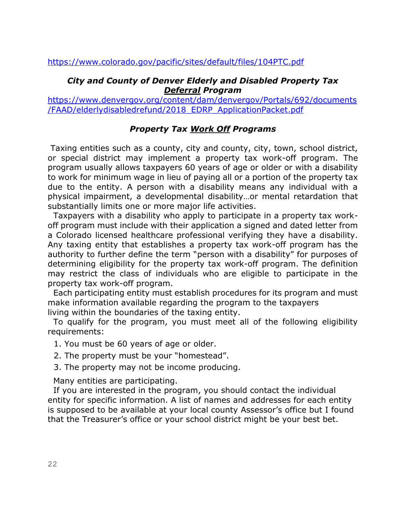#### *City and County of Denver Elderly and Disabled Property Tax Deferral Program*

[https://www.denvergov.org/content/dam/denvergov/Portals/692/documents](https://www.denvergov.org/content/dam/denvergov/Portals/692/documents/FAAD/elderlydisabledrefund/2018_EDRP_ApplicationPacket.pdf) [/FAAD/elderlydisabledrefund/2018\\_EDRP\\_ApplicationPacket.pdf](https://www.denvergov.org/content/dam/denvergov/Portals/692/documents/FAAD/elderlydisabledrefund/2018_EDRP_ApplicationPacket.pdf)

#### *Property Tax Work Off Programs*

Taxing entities such as a county, city and county, city, town, school district, or special district may implement a property tax work-off program. The program usually allows taxpayers 60 years of age or older or with a disability to work for minimum wage in lieu of paying all or a portion of the property tax due to the entity. A person with a disability means any individual with a physical impairment, a developmental disability…or mental retardation that substantially limits one or more major life activities.

 Taxpayers with a disability who apply to participate in a property tax workoff program must include with their application a signed and dated letter from a Colorado licensed healthcare professional verifying they have a disability. Any taxing entity that establishes a property tax work-off program has the authority to further define the term "person with a disability" for purposes of determining eligibility for the property tax work-off program. The definition may restrict the class of individuals who are eligible to participate in the property tax work-off program.

 Each participating entity must establish procedures for its program and must make information available regarding the program to the taxpayers living within the boundaries of the taxing entity.

 To qualify for the program, you must meet all of the following eligibility requirements:

- 1. You must be 60 years of age or older.
- 2. The property must be your "homestead".
- 3. The property may not be income producing.

Many entities are participating.

 If you are interested in the program, you should contact the individual entity for specific information. A list of names and addresses for each entity is supposed to be available at your local county Assessor's office but I found that the Treasurer's office or your school district might be your best bet.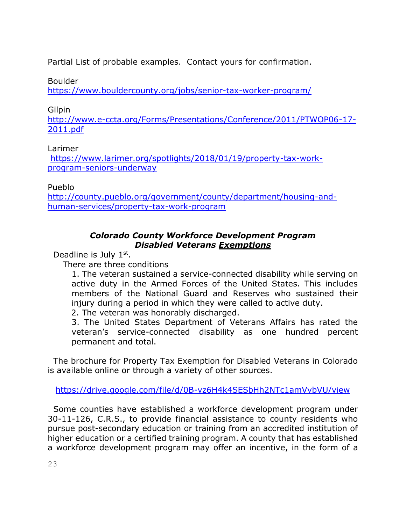Partial List of probable examples. Contact yours for confirmation.

Boulder

<https://www.bouldercounty.org/jobs/senior-tax-worker-program/>

#### **Gilpin**

[http://www.e-ccta.org/Forms/Presentations/Conference/2011/PTWOP06-17-](http://www.e-ccta.org/Forms/Presentations/Conference/2011/PTWOP06-17-2011.pdf) [2011.pdf](http://www.e-ccta.org/Forms/Presentations/Conference/2011/PTWOP06-17-2011.pdf)

### Larimer

[https://www.larimer.org/spotlights/2018/01/19/property-tax-work](https://www.larimer.org/spotlights/2018/01/19/property-tax-work-program-seniors-underway)[program-seniors-underway](https://www.larimer.org/spotlights/2018/01/19/property-tax-work-program-seniors-underway)

Pueblo

[http://county.pueblo.org/government/county/department/housing-and](http://county.pueblo.org/government/county/department/housing-and-human-services/property-tax-work-program)[human-services/property-tax-work-program](http://county.pueblo.org/government/county/department/housing-and-human-services/property-tax-work-program)

### *Colorado County Workforce Development Program Disabled Veterans Exemptions*

Deadline is July 1st.

There are three conditions

1. The veteran sustained a service-connected disability while serving on active duty in the Armed Forces of the United States. This includes members of the National Guard and Reserves who sustained their injury during a period in which they were called to active duty.

2. The veteran was honorably discharged.

3. The United States Department of Veterans Affairs has rated the veteran's service-connected disability as one hundred percent permanent and total.

 The brochure for Property Tax Exemption for Disabled Veterans in Colorado is available online or through a variety of other sources.

<https://drive.google.com/file/d/0B-vz6H4k4SESbHh2NTc1amVvbVU/view>

 Some counties have established a workforce development program under 30-11-126, C.R.S., to provide financial assistance to county residents who pursue post-secondary education or training from an accredited institution of higher education or a certified training program. A county that has established a workforce development program may offer an incentive, in the form of a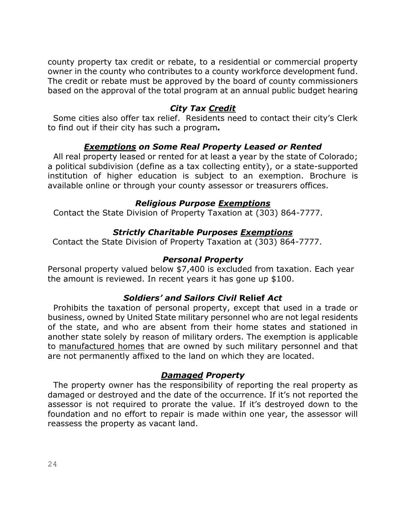county property tax credit or rebate, to a residential or commercial property owner in the county who contributes to a county workforce development fund. The credit or rebate must be approved by the board of county commissioners based on the approval of the total program at an annual public budget hearing

#### *City Tax Credit*

Some cities also offer tax relief. Residents need to contact their city's Clerk to find out if their city has such a program*.*

#### *Exemptions on Some Real Property Leased or Rented*

 All real property leased or rented for at least a year by the state of Colorado; a political subdivision (define as a tax collecting entity), or a state-supported institution of higher education is subject to an exemption. Brochure is available online or through your county assessor or treasurers offices.

#### *Religious Purpose Exemptions*

Contact the State Division of Property Taxation at (303) 864-7777.

#### *Strictly Charitable Purposes Exemptions*

Contact the State Division of Property Taxation at (303) 864-7777.

#### *Personal Property*

Personal property valued below \$7,400 is excluded from taxation. Each year the amount is reviewed. In recent years it has gone up \$100.

#### *Soldiers' and Sailors Civil* **Relief** *Act*

 Prohibits the taxation of personal property, except that used in a trade or business, owned by United State military personnel who are not legal residents of the state, and who are absent from their home states and stationed in another state solely by reason of military orders. The exemption is applicable to manufactured homes that are owned by such military personnel and that are not permanently affixed to the land on which they are located.

#### *Damaged Property*

 The property owner has the responsibility of reporting the real property as damaged or destroyed and the date of the occurrence. If it's not reported the assessor is not required to prorate the value. If it's destroyed down to the foundation and no effort to repair is made within one year, the assessor will reassess the property as vacant land.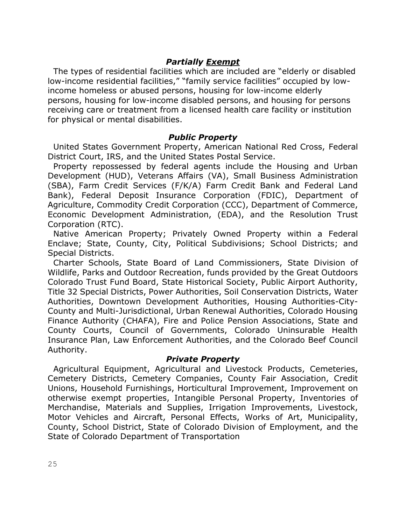#### *Partially Exempt*

 The types of residential facilities which are included are "elderly or disabled low-income residential facilities," "family service facilities" occupied by lowincome homeless or abused persons, housing for low-income elderly persons, housing for low-income disabled persons, and housing for persons receiving care or treatment from a licensed health care facility or institution for physical or mental disabilities.

#### *Public Property*

 United States Government Property, American National Red Cross, Federal District Court, IRS, and the United States Postal Service.

 Property repossessed by federal agents include the Housing and Urban Development (HUD), Veterans Affairs (VA), Small Business Administration (SBA), Farm Credit Services (F/K/A) Farm Credit Bank and Federal Land Bank), Federal Deposit Insurance Corporation (FDIC), Department of Agriculture, Commodity Credit Corporation (CCC), Department of Commerce, Economic Development Administration, (EDA), and the Resolution Trust Corporation (RTC).

 Native American Property; Privately Owned Property within a Federal Enclave; State, County, City, Political Subdivisions; School Districts; and Special Districts.

 Charter Schools, State Board of Land Commissioners, State Division of Wildlife, Parks and Outdoor Recreation, funds provided by the Great Outdoors Colorado Trust Fund Board, State Historical Society, Public Airport Authority, Title 32 Special Districts, Power Authorities, Soil Conservation Districts, Water Authorities, Downtown Development Authorities, Housing Authorities-City-County and Multi-Jurisdictional, Urban Renewal Authorities, Colorado Housing Finance Authority (CHAFA), Fire and Police Pension Associations, State and County Courts, Council of Governments, Colorado Uninsurable Health Insurance Plan, Law Enforcement Authorities, and the Colorado Beef Council Authority.

#### *Private Property*

 Agricultural Equipment, Agricultural and Livestock Products, Cemeteries, Cemetery Districts, Cemetery Companies, County Fair Association, Credit Unions, Household Furnishings, Horticultural Improvement, Improvement on otherwise exempt properties, Intangible Personal Property, Inventories of Merchandise, Materials and Supplies, Irrigation Improvements, Livestock, Motor Vehicles and Aircraft, Personal Effects, Works of Art, Municipality, County, School District, State of Colorado Division of Employment, and the State of Colorado Department of Transportation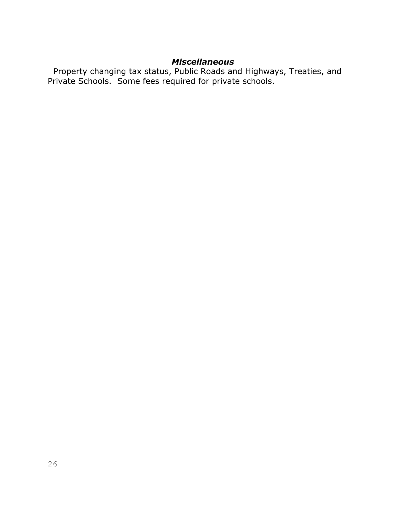#### *Miscellaneous*

 Property changing tax status, Public Roads and Highways, Treaties, and Private Schools. Some fees required for private schools.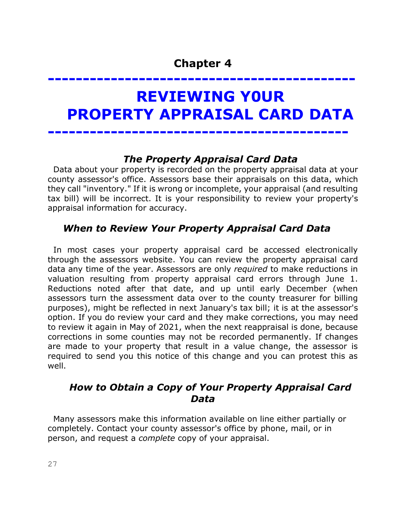# **-------------------------------------------- REVIEWING Y0UR PROPERTY APPRAISAL CARD DATA**

## *The Property Appraisal Card Data*

 Data about your property is recorded on the property appraisal data at your county assessor's office. Assessors base their appraisals on this data, which they call "inventory." If it is wrong or incomplete, your appraisal (and resulting tax bill) will be incorrect. It is your responsibility to review your property's appraisal information for accuracy.

**-------------------------------------------**

## *When to Review Your Property Appraisal Card Data*

 In most cases your property appraisal card be accessed electronically through the assessors website. You can review the property appraisal card data any time of the year. Assessors are only *required* to make reductions in valuation resulting from property appraisal card errors through June 1. Reductions noted after that date, and up until early December (when assessors turn the assessment data over to the county treasurer for billing purposes), might be reflected in next January's tax bill; it is at the assessor's option. If you do review your card and they make corrections, you may need to review it again in May of 2021, when the next reappraisal is done, because corrections in some counties may not be recorded permanently. If changes are made to your property that result in a value change, the assessor is required to send you this notice of this change and you can protest this as well.

### *How to Obtain a Copy of Your Property Appraisal Card Data*

 Many assessors make this information available on line either partially or completely. Contact your county assessor's office by phone, mail, or in person, and request a *complete* copy of your appraisal.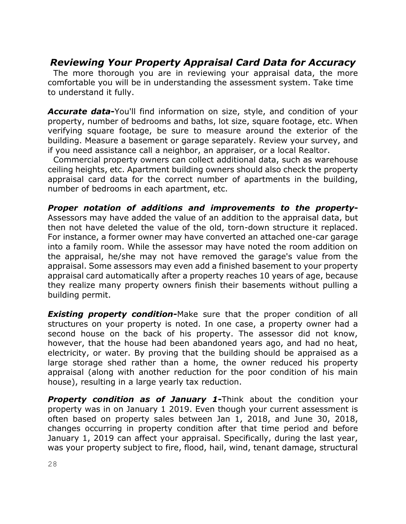## *Reviewing Your Property Appraisal Card Data for Accuracy*

 The more thorough you are in reviewing your appraisal data, the more comfortable you will be in understanding the assessment system. Take time to understand it fully.

*Accurate data***-**You'll find information on size, style, and condition of your property, number of bedrooms and baths, lot size, square footage, etc. When verifying square footage, be sure to measure around the exterior of the building. Measure a basement or garage separately. Review your survey, and if you need assistance call a neighbor, an appraiser, or a local Realtor.

 Commercial property owners can collect additional data, such as warehouse ceiling heights, etc. Apartment building owners should also check the property appraisal card data for the correct number of apartments in the building, number of bedrooms in each apartment, etc.

*Proper notation of additions and improvements to the property***-**Assessors may have added the value of an addition to the appraisal data, but then not have deleted the value of the old, torn-down structure it replaced. For instance, a former owner may have converted an attached one-car garage into a family room. While the assessor may have noted the room addition on the appraisal, he/she may not have removed the garage's value from the appraisal. Some assessors may even add a finished basement to your property appraisal card automatically after a property reaches 10 years of age, because they realize many property owners finish their basements without pulling a building permit.

**Existing property condition-**Make sure that the proper condition of all structures on your property is noted. In one case, a property owner had a second house on the back of his property. The assessor did not know, however, that the house had been abandoned years ago, and had no heat, electricity, or water. By proving that the building should be appraised as a large storage shed rather than a home, the owner reduced his property appraisal (along with another reduction for the poor condition of his main house), resulting in a large yearly tax reduction.

*Property condition as of January 1***-**Think about the condition your property was in on January 1 2019. Even though your current assessment is often based on property sales between Jan 1, 2018, and June 30, 2018, changes occurring in property condition after that time period and before January 1, 2019 can affect your appraisal. Specifically, during the last year, was your property subject to fire, flood, hail, wind, tenant damage, structural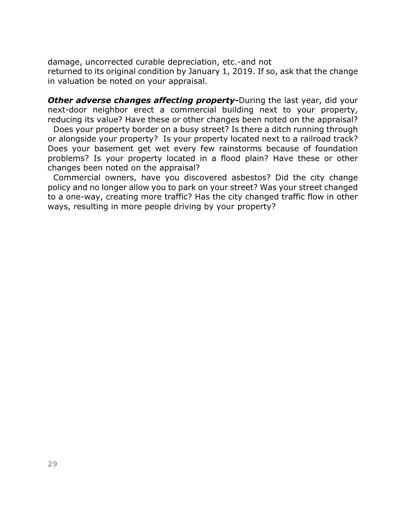damage, uncorrected curable depreciation, etc.-and not returned to its original condition by January 1, 2019. If so, ask that the change in valuation be noted on your appraisal.

*Other adverse changes affecting property***-**During the last year, did your next-door neighbor erect a commercial building next to your property, reducing its value? Have these or other changes been noted on the appraisal? Does your property border on a busy street? Is there a ditch running through or alongside your property? Is your property located next to a railroad track? Does your basement get wet every few rainstorms because of foundation problems? Is your property located in a flood plain? Have these or other changes been noted on the appraisal?

 Commercial owners, have you discovered asbestos? Did the city change policy and no longer allow you to park on your street? Was your street changed to a one-way, creating more traffic? Has the city changed traffic flow in other ways, resulting in more people driving by your property?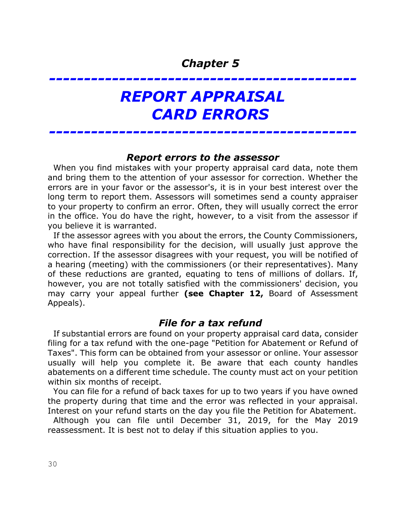# *REPORT APPRAISAL CARD ERRORS*

*--------------------------------------------*

#### *Report errors to the assessor*

*--------------------------------------------*

 When you find mistakes with your property appraisal card data, note them and bring them to the attention of your assessor for correction. Whether the errors are in your favor or the assessor's, it is in your best interest over the long term to report them. Assessors will sometimes send a county appraiser to your property to confirm an error. Often, they will usually correct the error in the office. You do have the right, however, to a visit from the assessor if you believe it is warranted.

 If the assessor agrees with you about the errors, the County Commissioners, who have final responsibility for the decision, will usually just approve the correction. If the assessor disagrees with your request, you will be notified of a hearing (meeting) with the commissioners (or their representatives). Many of these reductions are granted, equating to tens of millions of dollars. If, however, you are not totally satisfied with the commissioners' decision, you may carry your appeal further **(see Chapter 12,** Board of Assessment Appeals).

## *File for a tax refund*

 If substantial errors are found on your property appraisal card data, consider filing for a tax refund with the one-page "Petition for Abatement or Refund of Taxes". This form can be obtained from your assessor or online. Your assessor usually will help you complete it. Be aware that each county handles abatements on a different time schedule. The county must act on your petition within six months of receipt.

 You can file for a refund of back taxes for up to two years if you have owned the property during that time and the error was reflected in your appraisal. Interest on your refund starts on the day you file the Petition for Abatement.

 Although you can file until December 31, 2019, for the May 2019 reassessment. It is best not to delay if this situation applies to you.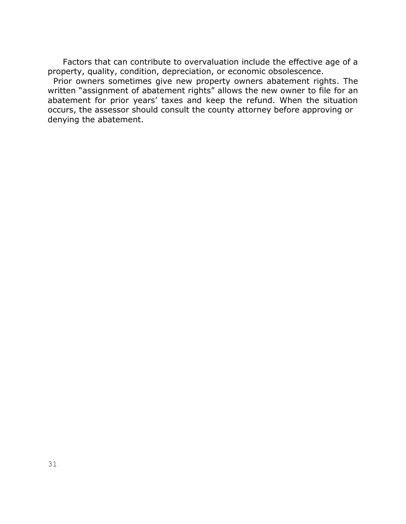Factors that can contribute to overvaluation include the effective age of a property, quality, condition, depreciation, or economic obsolescence.

 Prior owners sometimes give new property owners abatement rights. The written "assignment of abatement rights" allows the new owner to file for an abatement for prior years' taxes and keep the refund. When the situation occurs, the assessor should consult the county attorney before approving or denying the abatement.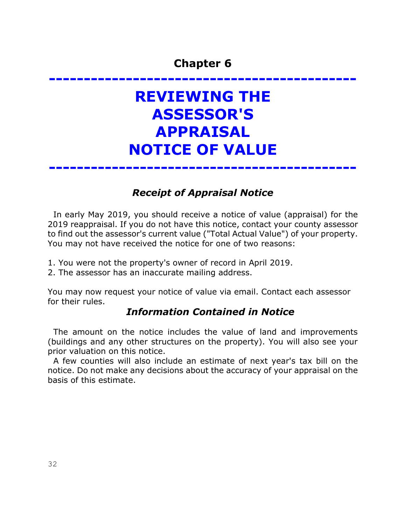# **-------------------------------------------- REVIEWING THE ASSESSOR'S APPRAISAL NOTICE OF VALUE**

**--------------------------------------------**

## *Receipt of Appraisal Notice*

 In early May 2019, you should receive a notice of value (appraisal) for the 2019 reappraisal. If you do not have this notice, contact your county assessor to find out the assessor's current value ("Total Actual Value") of your property. You may not have received the notice for one of two reasons:

- 1. You were not the property's owner of record in April 2019.
- 2. The assessor has an inaccurate mailing address.

You may now request your notice of value via email. Contact each assessor for their rules.

### *Information Contained in Notice*

 The amount on the notice includes the value of land and improvements (buildings and any other structures on the property). You will also see your prior valuation on this notice.

 A few counties will also include an estimate of next year's tax bill on the notice. Do not make any decisions about the accuracy of your appraisal on the basis of this estimate.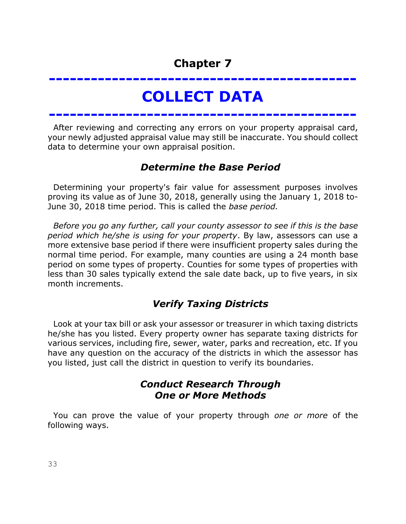## **-------------------------------------------- COLLECT DATA**

**--------------------------------------------**

 After reviewing and correcting any errors on your property appraisal card, your newly adjusted appraisal value may still be inaccurate. You should collect data to determine your own appraisal position.

## *Determine the Base Period*

 Determining your property's fair value for assessment purposes involves proving its value as of June 30, 2018, generally using the January 1, 2018 to-June 30, 2018 time period. This is called the *base period.*

 *Before you go any further, call your county assessor to see if this is the base period which he/she is using for your property*. By law, assessors can use a more extensive base period if there were insufficient property sales during the normal time period. For example, many counties are using a 24 month base period on some types of property. Counties for some types of properties with less than 30 sales typically extend the sale date back, up to five years, in six month increments.

## *Verify Taxing Districts*

 Look at your tax bill or ask your assessor or treasurer in which taxing districts he/she has you listed. Every property owner has separate taxing districts for various services, including fire, sewer, water, parks and recreation, etc. If you have any question on the accuracy of the districts in which the assessor has you listed, just call the district in question to verify its boundaries.

## *Conduct Research Through One or More Methods*

 You can prove the value of your property through *one or more* of the following ways.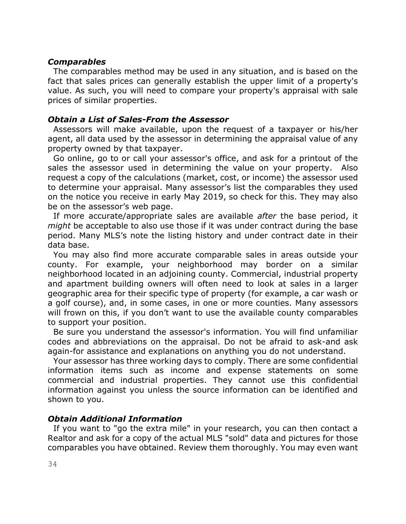#### *Comparables*

 The comparables method may be used in any situation, and is based on the fact that sales prices can generally establish the upper limit of a property's value. As such, you will need to compare your property's appraisal with sale prices of similar properties.

#### *Obtain a List of Sales-From the Assessor*

 Assessors will make available, upon the request of a taxpayer or his/her agent, all data used by the assessor in determining the appraisal value of any property owned by that taxpayer.

 Go online, go to or call your assessor's office, and ask for a printout of the sales the assessor used in determining the value on your property. Also request a copy of the calculations (market, cost, or income) the assessor used to determine your appraisal. Many assessor's list the comparables they used on the notice you receive in early May 2019, so check for this. They may also be on the assessor's web page.

 If more accurate/appropriate sales are available *after* the base period, it *might* be acceptable to also use those if it was under contract during the base period. Many MLS's note the listing history and under contract date in their data base.

 You may also find more accurate comparable sales in areas outside your county. For example, your neighborhood may border on a similar neighborhood located in an adjoining county. Commercial, industrial property and apartment building owners will often need to look at sales in a larger geographic area for their specific type of property (for example, a car wash or a golf course), and, in some cases, in one or more counties. Many assessors will frown on this, if you don't want to use the available county comparables to support your position.

 Be sure you understand the assessor's information. You will find unfamiliar codes and abbreviations on the appraisal. Do not be afraid to ask-and ask again-for assistance and explanations on anything you do not understand.

 Your assessor has three working days to comply. There are some confidential information items such as income and expense statements on some commercial and industrial properties. They cannot use this confidential information against you unless the source information can be identified and shown to you.

#### *Obtain Additional Information*

 If you want to "go the extra mile" in your research, you can then contact a Realtor and ask for a copy of the actual MLS "sold" data and pictures for those comparables you have obtained. Review them thoroughly. You may even want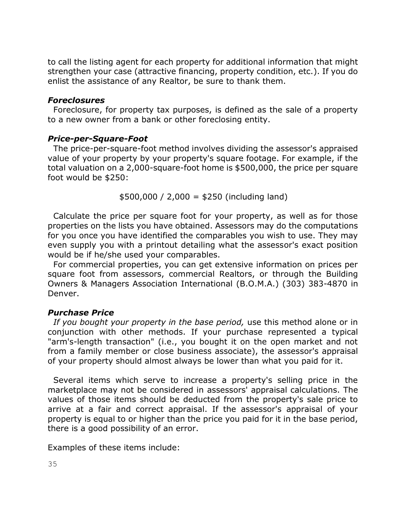to call the listing agent for each property for additional information that might strengthen your case (attractive financing, property condition, etc.). If you do enlist the assistance of any Realtor, be sure to thank them.

#### *Foreclosures*

 Foreclosure, for property tax purposes, is defined as the sale of a property to a new owner from a bank or other foreclosing entity.

#### *Price-per-Square-Foot*

 The price-per-square-foot method involves dividing the assessor's appraised value of your property by your property's square footage. For example, if the total valuation on a 2,000-square-foot home is \$500,000, the price per square foot would be \$250:

 $$500,000 / 2,000 = $250$  (including land)

 Calculate the price per square foot for your property, as well as for those properties on the lists you have obtained. Assessors may do the computations for you once you have identified the comparables you wish to use. They may even supply you with a printout detailing what the assessor's exact position would be if he/she used your comparables.

 For commercial properties, you can get extensive information on prices per square foot from assessors, commercial Realtors, or through the Building Owners & Managers Association International (B.O.M.A.) (303) 383-4870 in Denver.

#### *Purchase Price*

 *If you bought your property in the base period,* use this method alone or in conjunction with other methods. If your purchase represented a typical "arm's-length transaction" (i.e., you bought it on the open market and not from a family member or close business associate), the assessor's appraisal of your property should almost always be lower than what you paid for it.

 Several items which serve to increase a property's selling price in the marketplace may not be considered in assessors' appraisal calculations. The values of those items should be deducted from the property's sale price to arrive at a fair and correct appraisal. If the assessor's appraisal of your property is equal to or higher than the price you paid for it in the base period, there is a good possibility of an error.

Examples of these items include: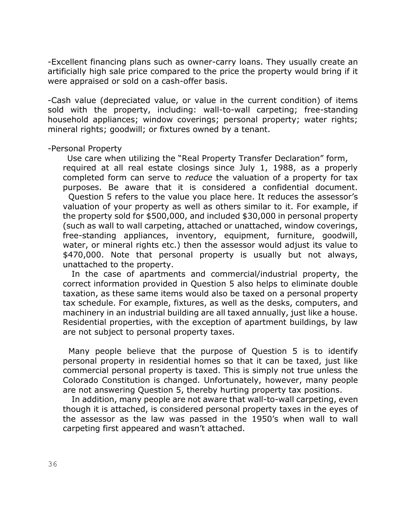-Excellent financing plans such as owner-carry loans. They usually create an artificially high sale price compared to the price the property would bring if it were appraised or sold on a cash-offer basis.

-Cash value (depreciated value, or value in the current condition) of items sold with the property, including: wall-to-wall carpeting; free-standing household appliances; window coverings; personal property; water rights; mineral rights; goodwill; or fixtures owned by a tenant.

-Personal Property

 Use care when utilizing the "Real Property Transfer Declaration" form, required at all real estate closings since July 1, 1988, as a properly completed form can serve to *reduce* the valuation of a property for tax purposes. Be aware that it is considered a confidential document. Question 5 refers to the value you place here. It reduces the assessor's valuation of your property as well as others similar to it. For example, if the property sold for \$500,000, and included \$30,000 in personal property (such as wall to wall carpeting, attached or unattached, window coverings, free-standing appliances, inventory, equipment, furniture, goodwill, water, or mineral rights etc.) then the assessor would adjust its value to \$470,000. Note that personal property is usually but not always, unattached to the property.

In the case of apartments and commercial/industrial property, the correct information provided in Question 5 also helps to eliminate double taxation, as these same items would also be taxed on a personal property tax schedule. For example, fixtures, as well as the desks, computers, and machinery in an industrial building are all taxed annually, just like a house. Residential properties, with the exception of apartment buildings, by law are not subject to personal property taxes.

 Many people believe that the purpose of Question 5 is to identify personal property in residential homes so that it can be taxed, just like commercial personal property is taxed. This is simply not true unless the Colorado Constitution is changed. Unfortunately, however, many people are not answering Question 5, thereby hurting property tax positions.

In addition, many people are not aware that wall-to-wall carpeting, even though it is attached, is considered personal property taxes in the eyes of the assessor as the law was passed in the 1950's when wall to wall carpeting first appeared and wasn't attached.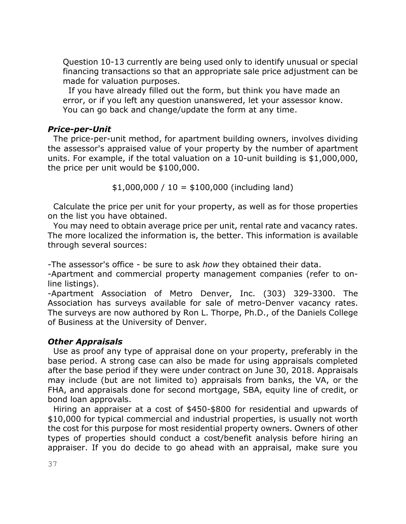Question 10-13 currently are being used only to identify unusual or special financing transactions so that an appropriate sale price adjustment can be made for valuation purposes.

 If you have already filled out the form, but think you have made an error, or if you left any question unanswered, let your assessor know. You can go back and change/update the form at any time.

#### *Price-per-Unit*

 The price-per-unit method, for apartment building owners, involves dividing the assessor's appraised value of your property by the number of apartment units. For example, if the total valuation on a 10-unit building is \$1,000,000, the price per unit would be \$100,000.

 $$1,000,000 / 10 = $100,000$  (including land)

 Calculate the price per unit for your property, as well as for those properties on the list you have obtained.

 You may need to obtain average price per unit, rental rate and vacancy rates. The more localized the information is, the better. This information is available through several sources:

-The assessor's office - be sure to ask *how* they obtained their data.

-Apartment and commercial property management companies (refer to online listings).

-Apartment Association of Metro Denver, Inc. (303) 329-3300. The Association has surveys available for sale of metro-Denver vacancy rates. The surveys are now authored by Ron L. Thorpe, Ph.D., of the Daniels College of Business at the University of Denver.

#### *Other Appraisals*

 Use as proof any type of appraisal done on your property, preferably in the base period. A strong case can also be made for using appraisals completed after the base period if they were under contract on June 30, 2018. Appraisals may include (but are not limited to) appraisals from banks, the VA, or the FHA, and appraisals done for second mortgage, SBA, equity line of credit, or bond loan approvals.

 Hiring an appraiser at a cost of \$450-\$800 for residential and upwards of \$10,000 for typical commercial and industrial properties, is usually not worth the cost for this purpose for most residential property owners. Owners of other types of properties should conduct a cost/benefit analysis before hiring an appraiser. If you do decide to go ahead with an appraisal, make sure you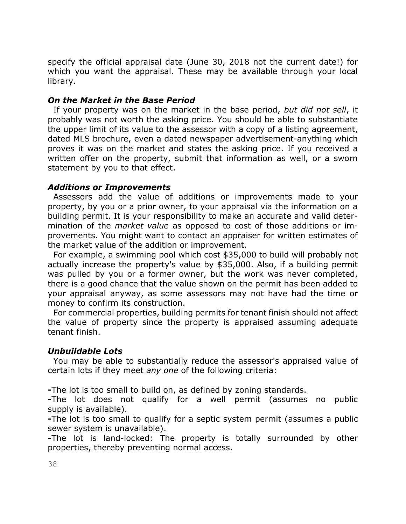specify the official appraisal date (June 30, 2018 not the current date!) for which you want the appraisal. These may be available through your local library.

#### *On the Market in the Base Period*

 If your property was on the market in the base period, *but did not sell*, it probably was not worth the asking price. You should be able to substantiate the upper limit of its value to the assessor with a copy of a listing agreement, dated MLS brochure, even a dated newspaper advertisement-anything which proves it was on the market and states the asking price. If you received a written offer on the property, submit that information as well, or a sworn statement by you to that effect.

#### *Additions or Improvements*

 Assessors add the value of additions or improvements made to your property, by you or a prior owner, to your appraisal via the information on a building permit. It is your responsibility to make an accurate and valid determination of the *market value* as opposed to cost of those additions or improvements. You might want to contact an appraiser for written estimates of the market value of the addition or improvement.

 For example, a swimming pool which cost \$35,000 to build will probably not actually increase the property's value by \$35,000. Also, if a building permit was pulled by you or a former owner, but the work was never completed, there is a good chance that the value shown on the permit has been added to your appraisal anyway, as some assessors may not have had the time or money to confirm its construction.

 For commercial properties, building permits for tenant finish should not affect the value of property since the property is appraised assuming adequate tenant finish.

#### *Unbuildable Lots*

 You may be able to substantially reduce the assessor's appraised value of certain lots if they meet *any one* of the following criteria:

**-**The lot is too small to build on, as defined by zoning standards.

**-**The lot does not qualify for a well permit (assumes no public supply is available).

**-**The lot is too small to qualify for a septic system permit (assumes a public sewer system is unavailable).

**-**The lot is land-locked: The property is totally surrounded by other properties, thereby preventing normal access.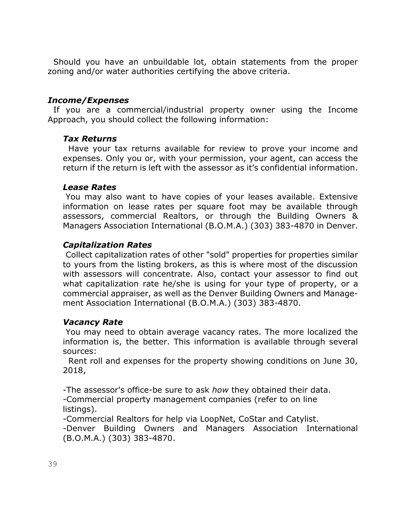Should you have an unbuildable lot, obtain statements from the proper zoning and/or water authorities certifying the above criteria.

#### *Income/Expenses*

 If you are a commercial/industrial property owner using the Income Approach, you should collect the following information:

#### *Tax Returns*

 Have your tax returns available for review to prove your income and expenses. Only you or, with your permission, your agent, can access the return if the return is left with the assessor as it's confidential information.

#### *Lease Rates*

You may also want to have copies of your leases available. Extensive information on lease rates per square foot may be available through assessors, commercial Realtors, or through the Building Owners & Managers Association International (B.O.M.A.) (303) 383-4870 in Denver.

#### *Capitalization Rates*

Collect capitalization rates of other "sold" properties for properties similar to yours from the listing brokers, as this is where most of the discussion with assessors will concentrate. Also, contact your assessor to find out what capitalization rate he/she is using for your type of property, or a commercial appraiser, as well as the Denver Building Owners and Management Association International (B.O.M.A.) (303) 383-4870.

#### *Vacancy Rate*

You may need to obtain average vacancy rates. The more localized the information is, the better. This information is available through several sources:

 Rent roll and expenses for the property showing conditions on June 30, 2018,

-The assessor's office-be sure to ask *how* they obtained their data. -Commercial property management companies (refer to on line listings).

-Commercial Realtors for help via LoopNet, CoStar and Catylist.

-Denver Building Owners and Managers Association International (B.O.M.A.) (303) 383-4870.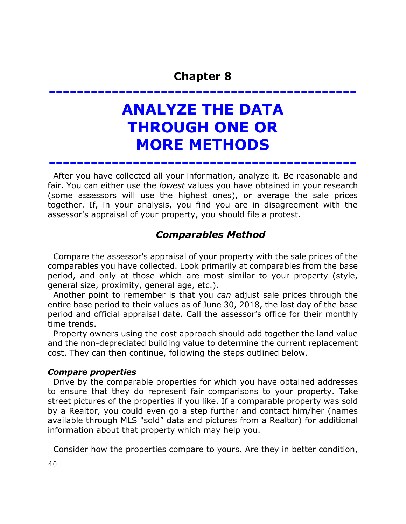**--------------------------------------------**

**ANALYZE THE DATA THROUGH ONE OR MORE METHODS**

 After you have collected all your information, analyze it. Be reasonable and fair. You can either use the *lowest* values you have obtained in your research (some assessors will use the highest ones), or average the sale prices together. If, in your analysis, you find you are in disagreement with the assessor's appraisal of your property, you should file a protest.

**--------------------------------------------**

## *Comparables Method*

 Compare the assessor's appraisal of your property with the sale prices of the comparables you have collected. Look primarily at comparables from the base period, and only at those which are most similar to your property (style, general size, proximity, general age, etc.).

 Another point to remember is that you *can* adjust sale prices through the entire base period to their values as of June 30, 2018, the last day of the base period and official appraisal date. Call the assessor's office for their monthly time trends.

 Property owners using the cost approach should add together the land value and the non-depreciated building value to determine the current replacement cost. They can then continue, following the steps outlined below.

#### *Compare properties*

 Drive by the comparable properties for which you have obtained addresses to ensure that they do represent fair comparisons to your property. Take street pictures of the properties if you like. If a comparable property was sold by a Realtor, you could even go a step further and contact him/her (names available through MLS "sold" data and pictures from a Realtor) for additional information about that property which may help you.

Consider how the properties compare to yours. Are they in better condition,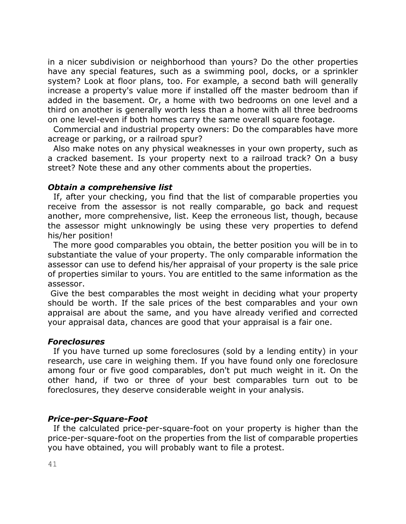in a nicer subdivision or neighborhood than yours? Do the other properties have any special features, such as a swimming pool, docks, or a sprinkler system? Look at floor plans, too. For example, a second bath will generally increase a property's value more if installed off the master bedroom than if added in the basement. Or, a home with two bedrooms on one level and a third on another is generally worth less than a home with all three bedrooms on one level-even if both homes carry the same overall square footage.

 Commercial and industrial property owners: Do the comparables have more acreage or parking, or a railroad spur?

 Also make notes on any physical weaknesses in your own property, such as a cracked basement. Is your property next to a railroad track? On a busy street? Note these and any other comments about the properties.

#### *Obtain a comprehensive list*

 If, after your checking, you find that the list of comparable properties you receive from the assessor is not really comparable, go back and request another, more comprehensive, list. Keep the erroneous list, though, because the assessor might unknowingly be using these very properties to defend his/her position!

 The more good comparables you obtain, the better position you will be in to substantiate the value of your property. The only comparable information the assessor can use to defend his/her appraisal of your property is the sale price of properties similar to yours. You are entitled to the same information as the assessor.

Give the best comparables the most weight in deciding what your property should be worth. If the sale prices of the best comparables and your own appraisal are about the same, and you have already verified and corrected your appraisal data, chances are good that your appraisal is a fair one.

#### *Foreclosures*

 If you have turned up some foreclosures (sold by a lending entity) in your research, use care in weighing them. If you have found only one foreclosure among four or five good comparables, don't put much weight in it. On the other hand, if two or three of your best comparables turn out to be foreclosures, they deserve considerable weight in your analysis.

#### *Price-per-Square-Foot*

 If the calculated price-per-square-foot on your property is higher than the price-per-square-foot on the properties from the list of comparable properties you have obtained, you will probably want to file a protest.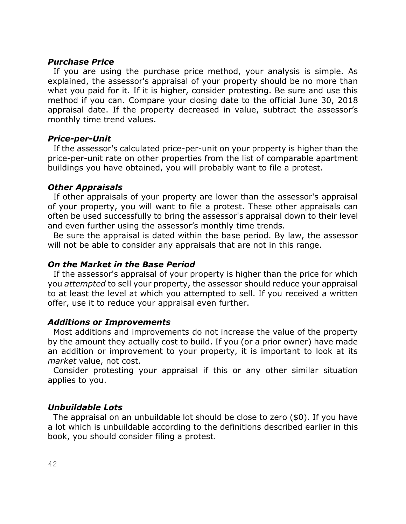#### *Purchase Price*

 If you are using the purchase price method, your analysis is simple. As explained, the assessor's appraisal of your property should be no more than what you paid for it. If it is higher, consider protesting. Be sure and use this method if you can. Compare your closing date to the official June 30, 2018 appraisal date. If the property decreased in value, subtract the assessor's monthly time trend values.

#### *Price-per-Unit*

 If the assessor's calculated price-per-unit on your property is higher than the price-per-unit rate on other properties from the list of comparable apartment buildings you have obtained, you will probably want to file a protest.

#### *Other Appraisals*

 If other appraisals of your property are lower than the assessor's appraisal of your property, you will want to file a protest. These other appraisals can often be used successfully to bring the assessor's appraisal down to their level and even further using the assessor's monthly time trends.

 Be sure the appraisal is dated within the base period. By law, the assessor will not be able to consider any appraisals that are not in this range.

#### *On the Market in the Base Period*

 If the assessor's appraisal of your property is higher than the price for which you *attempted* to sell your property, the assessor should reduce your appraisal to at least the level at which you attempted to sell. If you received a written offer, use it to reduce your appraisal even further.

#### *Additions or Improvements*

 Most additions and improvements do not increase the value of the property by the amount they actually cost to build. If you (or a prior owner) have made an addition or improvement to your property, it is important to look at its *market* value, not cost.

 Consider protesting your appraisal if this or any other similar situation applies to you.

#### *Unbuildable Lots*

 The appraisal on an unbuildable lot should be close to zero (\$0). If you have a lot which is unbuildable according to the definitions described earlier in this book, you should consider filing a protest.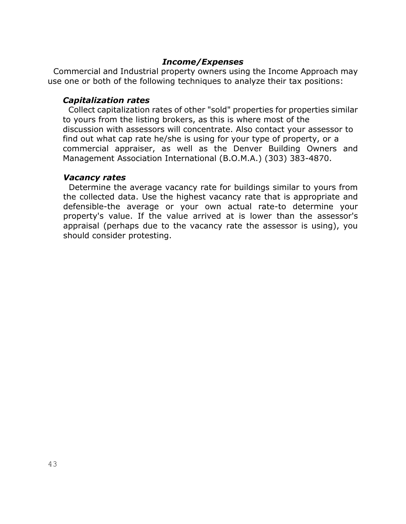#### *Income/Expenses*

 Commercial and Industrial property owners using the Income Approach may use one or both of the following techniques to analyze their tax positions:

#### *Capitalization rates*

 Collect capitalization rates of other "sold" properties for properties similar to yours from the listing brokers, as this is where most of the discussion with assessors will concentrate. Also contact your assessor to find out what cap rate he/she is using for your type of property, or a commercial appraiser, as well as the Denver Building Owners and Management Association International (B.O.M.A.) (303) 383-4870.

#### *Vacancy rates*

 Determine the average vacancy rate for buildings similar to yours from the collected data. Use the highest vacancy rate that is appropriate and defensible-the average or your own actual rate-to determine your property's value. If the value arrived at is lower than the assessor's appraisal (perhaps due to the vacancy rate the assessor is using), you should consider protesting.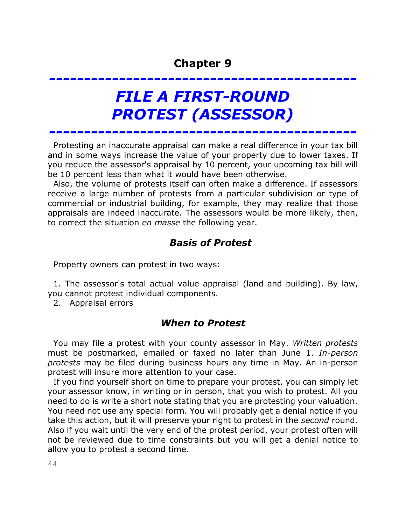*--------------------------------------------*

# *FILE A FIRST-ROUND PROTEST (ASSESSOR)*

 Protesting an inaccurate appraisal can make a real difference in your tax bill and in some ways increase the value of your property due to lower taxes. If you reduce the assessor's appraisal by 10 percent, your upcoming tax bill will be 10 percent less than what it would have been otherwise.

*--------------------------------------------*

 Also, the volume of protests itself can often make a difference. If assessors receive a large number of protests from a particular subdivision or type of commercial or industrial building, for example, they may realize that those appraisals are indeed inaccurate. The assessors would be more likely, then, to correct the situation *en masse* the following year.

## *Basis of Protest*

Property owners can protest in two ways:

 1. The assessor's total actual value appraisal (land and building). By law, you cannot protest individual components.

2. Appraisal errors

## *When to Protest*

 You may file a protest with your county assessor in May. *Written protests* must be postmarked, emailed or faxed no later than June 1. *In-person protests* may be filed during business hours any time in May. An in-person protest will insure more attention to your case.

 If you find yourself short on time to prepare your protest, you can simply let your assessor know, in writing or in person, that you wish to protest. All you need to do is write a short note stating that you are protesting your valuation. You need not use any special form. You will probably get a denial notice if you take this action, but it will preserve your right to protest in the *second* round. Also if you wait until the very end of the protest period, your protest often will not be reviewed due to time constraints but you will get a denial notice to allow you to protest a second time.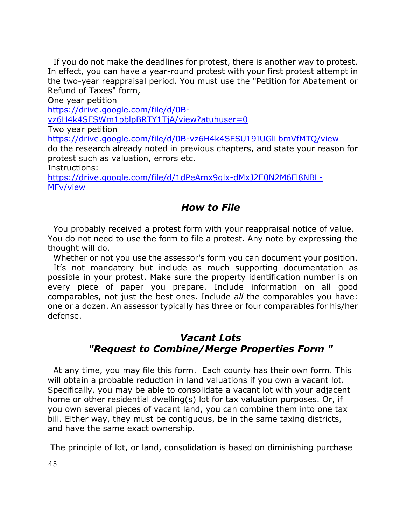If you do not make the deadlines for protest, there is another way to protest. In effect, you can have a year-round protest with your first protest attempt in the two-year reappraisal period. You must use the "Petition for Abatement or Refund of Taxes" form,

One year petition

[https://drive.google.com/file/d/0B-](https://drive.google.com/file/d/0B-vz6H4k4SESWm1pblpBRTY1TjA/view?atuhuser=0)

[vz6H4k4SESWm1pblpBRTY1TjA/view?atuhuser=0](https://drive.google.com/file/d/0B-vz6H4k4SESWm1pblpBRTY1TjA/view?atuhuser=0)

Two year petition

<https://drive.google.com/file/d/0B-vz6H4k4SESU19IUGlLbmVfMTQ/view>

do the research already noted in previous chapters, and state your reason for protest such as valuation, errors etc.

Instructions:

[https://drive.google.com/file/d/1dPeAmx9qlx-dMxJ2E0N2M6Fl8NBL-](https://drive.google.com/file/d/1dPeAmx9qlx-dMxJ2E0N2M6Fl8NBL-MFv/view)[MFv/view](https://drive.google.com/file/d/1dPeAmx9qlx-dMxJ2E0N2M6Fl8NBL-MFv/view)

## *How to File*

 You probably received a protest form with your reappraisal notice of value. You do not need to use the form to file a protest. Any note by expressing the thought will do.

 Whether or not you use the assessor's form you can document your position. It's not mandatory but include as much supporting documentation as possible in your protest. Make sure the property identification number is on every piece of paper you prepare. Include information on all good comparables, not just the best ones. Include *all* the comparables you have: one or a dozen. An assessor typically has three or four comparables for his/her defense.

## *Vacant Lots "Request to Combine/Merge Properties Form "*

 At any time, you may file this form. Each county has their own form. This will obtain a probable reduction in land valuations if you own a vacant lot. Specifically, you may be able to consolidate a vacant lot with your adjacent home or other residential dwelling(s) lot for tax valuation purposes. Or, if you own several pieces of vacant land, you can combine them into one tax bill. Either way, they must be contiguous, be in the same taxing districts, and have the same exact ownership.

The principle of lot, or land, consolidation is based on diminishing purchase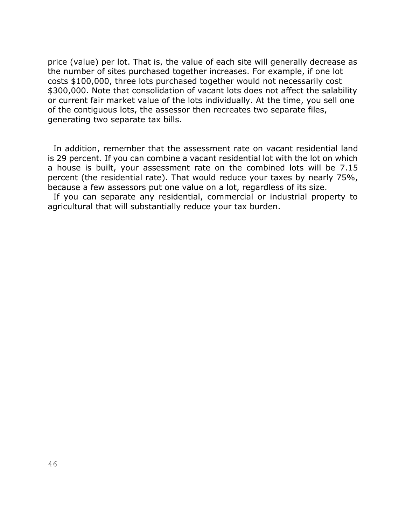price (value) per lot. That is, the value of each site will generally decrease as the number of sites purchased together increases. For example, if one lot costs \$100,000, three lots purchased together would not necessarily cost \$300,000. Note that consolidation of vacant lots does not affect the salability or current fair market value of the lots individually. At the time, you sell one of the contiguous lots, the assessor then recreates two separate files, generating two separate tax bills.

 In addition, remember that the assessment rate on vacant residential land is 29 percent. If you can combine a vacant residential lot with the lot on which a house is built, your assessment rate on the combined lots will be 7.15 percent (the residential rate). That would reduce your taxes by nearly 75%, because a few assessors put one value on a lot, regardless of its size.

 If you can separate any residential, commercial or industrial property to agricultural that will substantially reduce your tax burden.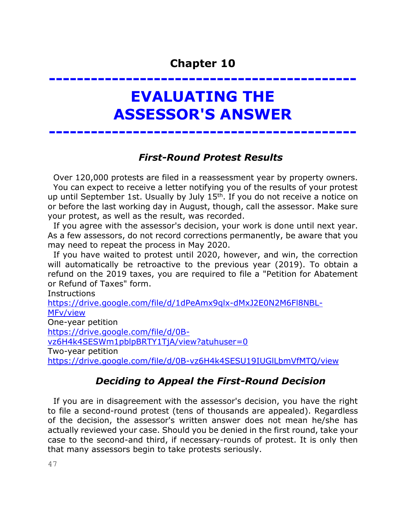**--------------------------------------------**

# **EVALUATING THE ASSESSOR'S ANSWER**

**--------------------------------------------**

## *First-Round Protest Results*

 Over 120,000 protests are filed in a reassessment year by property owners. You can expect to receive a letter notifying you of the results of your protest up until September 1st. Usually by July 15<sup>th</sup>. If you do not receive a notice on or before the last working day in August, though, call the assessor. Make sure your protest, as well as the result, was recorded.

 If you agree with the assessor's decision, your work is done until next year. As a few assessors, do not record corrections permanently, be aware that you may need to repeat the process in May 2020.

 If you have waited to protest until 2020, however, and win, the correction will automatically be retroactive to the previous year (2019). To obtain a refund on the 2019 taxes, you are required to file a "Petition for Abatement or Refund of Taxes" form.

**Instructions** 

[https://drive.google.com/file/d/1dPeAmx9qlx-dMxJ2E0N2M6Fl8NBL-](https://drive.google.com/file/d/1dPeAmx9qlx-dMxJ2E0N2M6Fl8NBL-MFv/view)[MFv/view](https://drive.google.com/file/d/1dPeAmx9qlx-dMxJ2E0N2M6Fl8NBL-MFv/view) One-year petition [https://drive.google.com/file/d/0B](https://drive.google.com/file/d/0B-vz6H4k4SESWm1pblpBRTY1TjA/view?atuhuser=0)[vz6H4k4SESWm1pblpBRTY1TjA/view?atuhuser=0](https://drive.google.com/file/d/0B-vz6H4k4SESWm1pblpBRTY1TjA/view?atuhuser=0) Two-year petition <https://drive.google.com/file/d/0B-vz6H4k4SESU19IUGlLbmVfMTQ/view>

## *Deciding to Appeal the First-Round Decision*

 If you are in disagreement with the assessor's decision, you have the right to file a second-round protest (tens of thousands are appealed). Regardless of the decision, the assessor's written answer does not mean he/she has actually reviewed your case. Should you be denied in the first round, take your case to the second-and third, if necessary-rounds of protest. It is only then that many assessors begin to take protests seriously.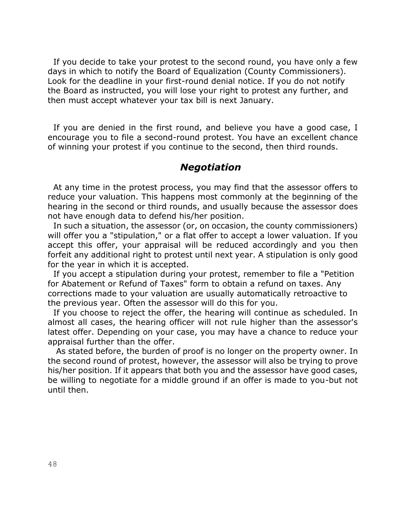If you decide to take your protest to the second round, you have only a few days in which to notify the Board of Equalization (County Commissioners). Look for the deadline in your first-round denial notice. If you do not notify the Board as instructed, you will lose your right to protest any further, and then must accept whatever your tax bill is next January.

 If you are denied in the first round, and believe you have a good case, I encourage you to file a second-round protest. You have an excellent chance of winning your protest if you continue to the second, then third rounds.

#### *Negotiation*

 At any time in the protest process, you may find that the assessor offers to reduce your valuation. This happens most commonly at the beginning of the hearing in the second or third rounds, and usually because the assessor does not have enough data to defend his/her position.

 In such a situation, the assessor (or, on occasion, the county commissioners) will offer you a "stipulation," or a flat offer to accept a lower valuation. If you accept this offer, your appraisal will be reduced accordingly and you then forfeit any additional right to protest until next year. A stipulation is only good for the year in which it is accepted.

 If you accept a stipulation during your protest, remember to file a "Petition for Abatement or Refund of Taxes" form to obtain a refund on taxes. Any corrections made to your valuation are usually automatically retroactive to the previous year. Often the assessor will do this for you.

 If you choose to reject the offer, the hearing will continue as scheduled. In almost all cases, the hearing officer will not rule higher than the assessor's latest offer. Depending on your case, you may have a chance to reduce your appraisal further than the offer.

 As stated before, the burden of proof is no longer on the property owner. In the second round of protest, however, the assessor will also be trying to prove his/her position. If it appears that both you and the assessor have good cases, be willing to negotiate for a middle ground if an offer is made to you-but not until then.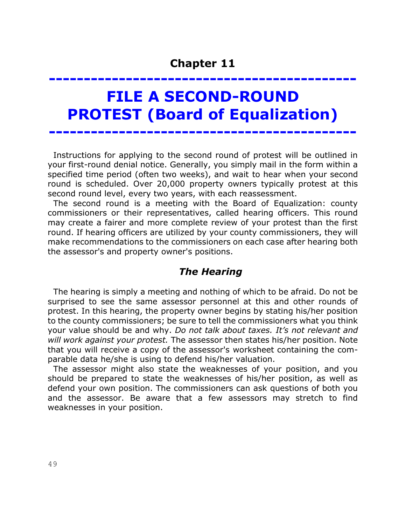# **-------------------------------------------- FILE A SECOND-ROUND PROTEST (Board of Equalization)**

**--------------------------------------------**

 Instructions for applying to the second round of protest will be outlined in your first-round denial notice. Generally, you simply mail in the form within a specified time period (often two weeks), and wait to hear when your second round is scheduled. Over 20,000 property owners typically protest at this second round level, every two years, with each reassessment.

 The second round is a meeting with the Board of Equalization: county commissioners or their representatives, called hearing officers. This round may create a fairer and more complete review of your protest than the first round. If hearing officers are utilized by your county commissioners, they will make recommendations to the commissioners on each case after hearing both the assessor's and property owner's positions.

#### *The Hearing*

 The hearing is simply a meeting and nothing of which to be afraid. Do not be surprised to see the same assessor personnel at this and other rounds of protest. In this hearing, the property owner begins by stating his/her position to the county commissioners; be sure to tell the commissioners what you think your value should be and why. *Do not talk about taxes. It's not relevant and will work against your protest.* The assessor then states his/her position. Note that you will receive a copy of the assessor's worksheet containing the comparable data he/she is using to defend his/her valuation.

 The assessor might also state the weaknesses of your position, and you should be prepared to state the weaknesses of his/her position, as well as defend your own position. The commissioners can ask questions of both you and the assessor. Be aware that a few assessors may stretch to find weaknesses in your position.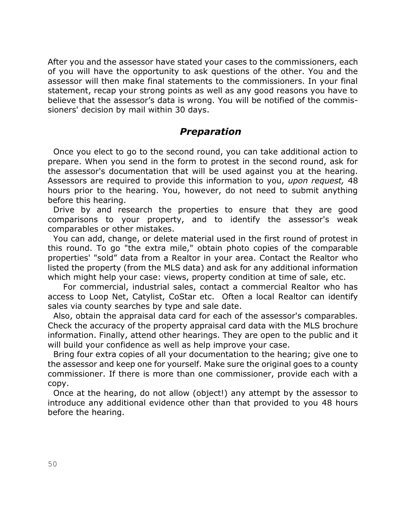After you and the assessor have stated your cases to the commissioners, each of you will have the opportunity to ask questions of the other. You and the assessor will then make final statements to the commissioners. In your final statement, recap your strong points as well as any good reasons you have to believe that the assessor's data is wrong. You will be notified of the commissioners' decision by mail within 30 days.

### *Preparation*

 Once you elect to go to the second round, you can take additional action to prepare. When you send in the form to protest in the second round, ask for the assessor's documentation that will be used against you at the hearing. Assessors are required to provide this information to you, *upon request,* 48 hours prior to the hearing. You, however, do not need to submit anything before this hearing.

 Drive by and research the properties to ensure that they are good comparisons to your property, and to identify the assessor's weak comparables or other mistakes.

 You can add, change, or delete material used in the first round of protest in this round. To go "the extra mile," obtain photo copies of the comparable properties' "sold" data from a Realtor in your area. Contact the Realtor who listed the property (from the MLS data) and ask for any additional information which might help your case: views, property condition at time of sale, etc.

For commercial, industrial sales, contact a commercial Realtor who has access to Loop Net, Catylist, CoStar etc. Often a local Realtor can identify sales via county searches by type and sale date.

 Also, obtain the appraisal data card for each of the assessor's comparables. Check the accuracy of the property appraisal card data with the MLS brochure information. Finally, attend other hearings. They are open to the public and it will build your confidence as well as help improve your case.

 Bring four extra copies of all your documentation to the hearing; give one to the assessor and keep one for yourself. Make sure the original goes to a county commissioner. If there is more than one commissioner, provide each with a copy.

 Once at the hearing, do not allow (object!) any attempt by the assessor to introduce any additional evidence other than that provided to you 48 hours before the hearing.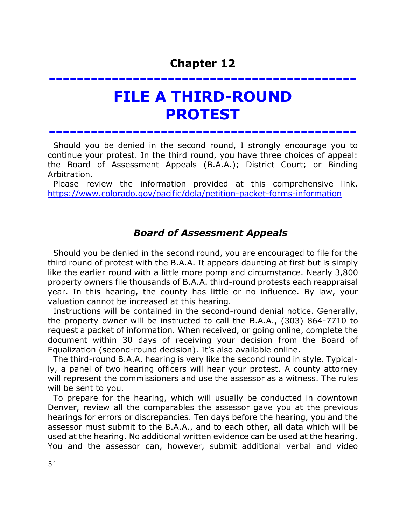# **--------------------------------------------**

## **FILE A THIRD-ROUND PROTEST**

**--------------------------------------------**

 Should you be denied in the second round, I strongly encourage you to continue your protest. In the third round, you have three choices of appeal: the Board of Assessment Appeals (B.A.A.); District Court; or Binding Arbitration.

 Please review the information provided at this comprehensive link. <https://www.colorado.gov/pacific/dola/petition-packet-forms-information>

## *Board of Assessment Appeals*

 Should you be denied in the second round, you are encouraged to file for the third round of protest with the B.A.A. It appears daunting at first but is simply like the earlier round with a little more pomp and circumstance. Nearly 3,800 property owners file thousands of B.A.A. third-round protests each reappraisal year. In this hearing, the county has little or no influence. By law, your valuation cannot be increased at this hearing.

 Instructions will be contained in the second-round denial notice. Generally, the property owner will be instructed to call the B.A.A., (303) 864-7710 to request a packet of information. When received, or going online, complete the document within 30 days of receiving your decision from the Board of Equalization (second-round decision). It's also available online.

 The third-round B.A.A. hearing is very like the second round in style. Typically, a panel of two hearing officers will hear your protest. A county attorney will represent the commissioners and use the assessor as a witness. The rules will be sent to you.

 To prepare for the hearing, which will usually be conducted in downtown Denver, review all the comparables the assessor gave you at the previous hearings for errors or discrepancies. Ten days before the hearing, you and the assessor must submit to the B.A.A., and to each other, all data which will be used at the hearing. No additional written evidence can be used at the hearing. You and the assessor can, however, submit additional verbal and video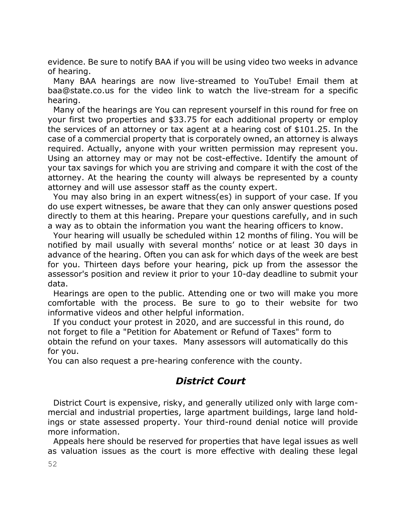evidence. Be sure to notify BAA if you will be using video two weeks in advance of hearing.

 Many BAA hearings are now live-streamed to YouTube! Email them at baa@state.co.us for the video link to watch the live-stream for a specific hearing.

 Many of the hearings are You can represent yourself in this round for free on your first two properties and \$33.75 for each additional property or employ the services of an attorney or tax agent at a hearing cost of \$101.25. In the case of a commercial property that is corporately owned, an attorney is always required. Actually, anyone with your written permission may represent you. Using an attorney may or may not be cost-effective. Identify the amount of your tax savings for which you are striving and compare it with the cost of the attorney. At the hearing the county will always be represented by a county attorney and will use assessor staff as the county expert.

 You may also bring in an expert witness(es) in support of your case. If you do use expert witnesses, be aware that they can only answer questions posed directly to them at this hearing. Prepare your questions carefully, and in such a way as to obtain the information you want the hearing officers to know.

 Your hearing will usually be scheduled within 12 months of filing. You will be notified by mail usually with several months' notice or at least 30 days in advance of the hearing. Often you can ask for which days of the week are best for you. Thirteen days before your hearing, pick up from the assessor the assessor's position and review it prior to your 10-day deadline to submit your data.

 Hearings are open to the public. Attending one or two will make you more comfortable with the process. Be sure to go to their website for two informative videos and other helpful information.

 If you conduct your protest in 2020, and are successful in this round, do not forget to file a "Petition for Abatement or Refund of Taxes" form to obtain the refund on your taxes. Many assessors will automatically do this for you.

You can also request a pre-hearing conference with the county.

## *District Court*

 District Court is expensive, risky, and generally utilized only with large commercial and industrial properties, large apartment buildings, large land holdings or state assessed property. Your third-round denial notice will provide more information.

 Appeals here should be reserved for properties that have legal issues as well as valuation issues as the court is more effective with dealing these legal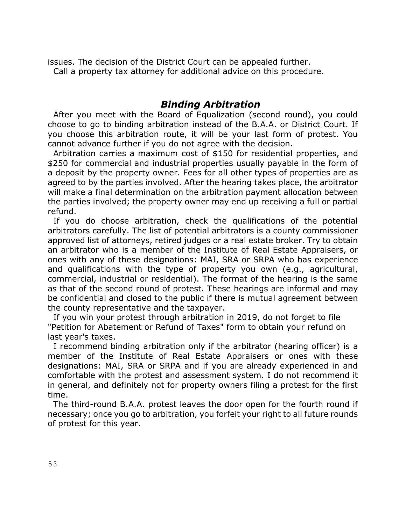issues. The decision of the District Court can be appealed further. Call a property tax attorney for additional advice on this procedure.

## *Binding Arbitration*

 After you meet with the Board of Equalization (second round), you could choose to go to binding arbitration instead of the B.A.A. or District Court. If you choose this arbitration route, it will be your last form of protest. You cannot advance further if you do not agree with the decision.

 Arbitration carries a maximum cost of \$150 for residential properties, and \$250 for commercial and industrial properties usually payable in the form of a deposit by the property owner. Fees for all other types of properties are as agreed to by the parties involved. After the hearing takes place, the arbitrator will make a final determination on the arbitration payment allocation between the parties involved; the property owner may end up receiving a full or partial refund.

 If you do choose arbitration, check the qualifications of the potential arbitrators carefully. The list of potential arbitrators is a county commissioner approved list of attorneys, retired judges or a real estate broker. Try to obtain an arbitrator who is a member of the Institute of Real Estate Appraisers, or ones with any of these designations: MAI, SRA or SRPA who has experience and qualifications with the type of property you own (e.g., agricultural, commercial, industrial or residential). The format of the hearing is the same as that of the second round of protest. These hearings are informal and may be confidential and closed to the public if there is mutual agreement between the county representative and the taxpayer.

 If you win your protest through arbitration in 2019, do not forget to file "Petition for Abatement or Refund of Taxes" form to obtain your refund on last year's taxes.

 I recommend binding arbitration only if the arbitrator (hearing officer) is a member of the Institute of Real Estate Appraisers or ones with these designations: MAI, SRA or SRPA and if you are already experienced in and comfortable with the protest and assessment system. I do not recommend it in general, and definitely not for property owners filing a protest for the first time.

 The third-round B.A.A. protest leaves the door open for the fourth round if necessary; once you go to arbitration, you forfeit your right to all future rounds of protest for this year.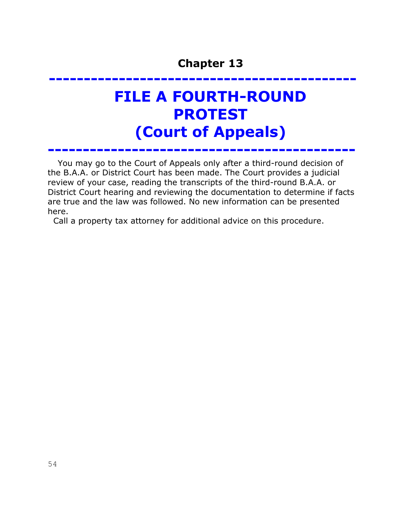# **-------------------------------------------- FILE A FOURTH-ROUND PROTEST (Court of Appeals)**

You may go to the Court of Appeals only after a third-round decision of the B.A.A. or District Court has been made. The Court provides a judicial review of your case, reading the transcripts of the third-round B.A.A. or District Court hearing and reviewing the documentation to determine if facts are true and the law was followed. No new information can be presented here.

**--------------------------------------------** 

Call a property tax attorney for additional advice on this procedure.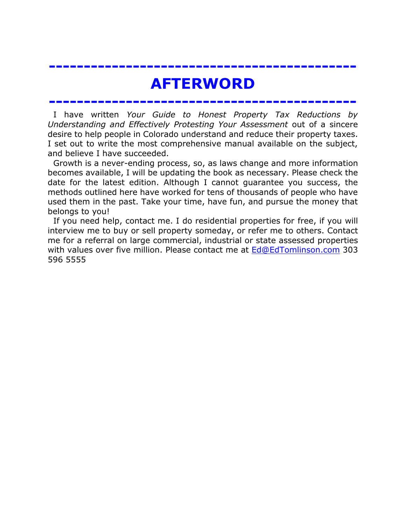## **AFTERWORD**

**--------------------------------------------**

**--------------------------------------------**

 I have written *Your Guide to Honest Property Tax Reductions by Understanding and Effectively Protesting Your Assessment* out of a sincere desire to help people in Colorado understand and reduce their property taxes. I set out to write the most comprehensive manual available on the subject, and believe I have succeeded.

 Growth is a never-ending process, so, as laws change and more information becomes available, I will be updating the book as necessary. Please check the date for the latest edition. Although I cannot guarantee you success, the methods outlined here have worked for tens of thousands of people who have used them in the past. Take your time, have fun, and pursue the money that belongs to you!

 If you need help, contact me. I do residential properties for free, if you will interview me to buy or sell property someday, or refer me to others. Contact me for a referral on large commercial, industrial or state assessed properties with values over five million. Please contact me at [Ed@EdTomlinson.com](mailto:Ed@EdTomlinson.com) 303 596 5555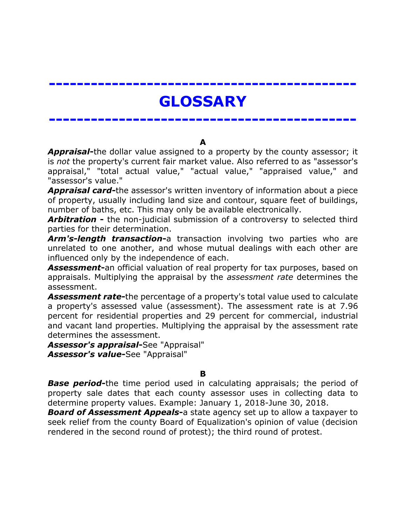# **GLOSSARY**

**--------------------------------------------**

**--------------------------------------------**

**A**

*Appraisal***-**the dollar value assigned to a property by the county assessor; it is *not* the property's current fair market value. Also referred to as "assessor's appraisal," "total actual value," "actual value," "appraised value," and "assessor's value."

*Appraisal card***-**the assessor's written inventory of information about a piece of property, usually including land size and contour, square feet of buildings, number of baths, etc. This may only be available electronically.

*Arbitration* **-** the non-judicial submission of a controversy to selected third parties for their determination.

*Arm's-length transaction***-**a transaction involving two parties who are unrelated to one another, and whose mutual dealings with each other are influenced only by the independence of each.

*Assessment***-**an official valuation of real property for tax purposes, based on appraisals. Multiplying the appraisal by the *assessment rate* determines the assessment.

*Assessment rate***-**the percentage of a property's total value used to calculate a property's assessed value (assessment). The assessment rate is at 7.96 percent for residential properties and 29 percent for commercial, industrial and vacant land properties. Multiplying the appraisal by the assessment rate determines the assessment.

*Assessor's appraisal***-**See "Appraisal" *Assessor's value***-**See "Appraisal"

**B**

**Base period-**the time period used in calculating appraisals; the period of property sale dates that each county assessor uses in collecting data to determine property values. Example: January 1, 2018-June 30, 2018.

*Board of Assessment Appeals***-**a state agency set up to allow a taxpayer to seek relief from the county Board of Equalization's opinion of value (decision rendered in the second round of protest); the third round of protest.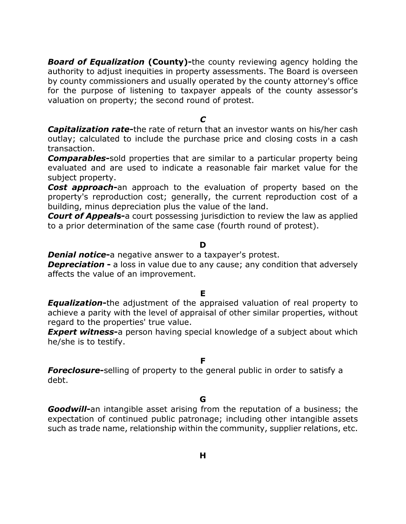*Board of Equalization* **(County)-**the county reviewing agency holding the authority to adjust inequities in property assessments. The Board is overseen by county commissioners and usually operated by the county attorney's office for the purpose of listening to taxpayer appeals of the county assessor's valuation on property; the second round of protest.

*C*

*Capitalization rate***-**the rate of return that an investor wants on his/her cash outlay; calculated to include the purchase price and closing costs in a cash transaction.

*Comparables***-**sold properties that are similar to a particular property being evaluated and are used to indicate a reasonable fair market value for the subject property.

*Cost approach***-**an approach to the evaluation of property based on the property's reproduction cost; generally, the current reproduction cost of a building, minus depreciation plus the value of the land.

*Court of Appeal***s-**a court possessing jurisdiction to review the law as applied to a prior determination of the same case (fourth round of protest).

#### **D**

*Denial notice***-**a negative answer to a taxpayer's protest.

**Depreciation -** a loss in value due to any cause; any condition that adversely affects the value of an improvement.

#### **E**

*Equalization***-**the adjustment of the appraised valuation of real property to achieve a parity with the level of appraisal of other similar properties, without regard to the properties' true value.

**Expert witness-**a person having special knowledge of a subject about which he/she is to testify.

#### **F**

**Foreclosure-**selling of property to the general public in order to satisfy a debt.

**G**

*Goodwill***-**an intangible asset arising from the reputation of a business; the expectation of continued public patronage; including other intangible assets such as trade name, relationship within the community, supplier relations, etc.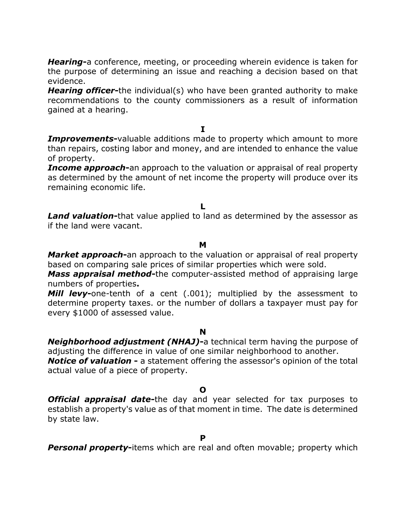*Hearing***-**a conference, meeting, or proceeding wherein evidence is taken for the purpose of determining an issue and reaching a decision based on that evidence.

*Hearing officer***-**the individual(s) who have been granted authority to make recommendations to the county commissioners as a result of information gained at a hearing.

**I**

**Improvements**-valuable additions made to property which amount to more than repairs, costing labor and money, and are intended to enhance the value of property.

*Income approach***-**an approach to the valuation or appraisal of real property as determined by the amount of net income the property will produce over its remaining economic life.

**L**

*Land valuation***-**that value applied to land as determined by the assessor as if the land were vacant.

#### **M**

*Market approach***-**an approach to the valuation or appraisal of real property based on comparing sale prices of similar properties which were sold.

*Mass appraisal method***-**the computer-assisted method of appraising large numbers of properties**.**

**Mill levy-**one-tenth of a cent (.001); multiplied by the assessment to determine property taxes. or the number of dollars a taxpayer must pay for every \$1000 of assessed value.

#### **N**

*Neighborhood adjustment (NHAJ)***-**a technical term having the purpose of adjusting the difference in value of one similar neighborhood to another.

*Notice of valuation* **-** a statement offering the assessor's opinion of the total actual value of a piece of property.

#### **O**

*Official appraisal date***-**the day and year selected for tax purposes to establish a property's value as of that moment in time. The date is determined by state law.

**Personal property-items which are real and often movable; property which**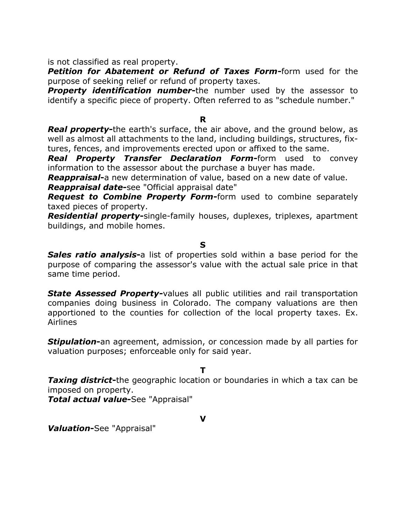is not classified as real property.

*Petition for Abatement or Refund of Taxes Form***-**form used for the purpose of seeking relief or refund of property taxes.

**Property identification number-the number used by the assessor to** identify a specific piece of property. Often referred to as "schedule number."

#### **R**

*Real property***-**the earth's surface, the air above, and the ground below, as well as almost all attachments to the land, including buildings, structures, fixtures, fences, and improvements erected upon or affixed to the same.

*Real Property Transfer Declaration Form***-**form used to convey information to the assessor about the purchase a buyer has made.

*Reappraisal***-**a new determination of value, based on a new date of value.

*Reappraisal date***-**see "Official appraisal date"

*Request to Combine Property Form***-**form used to combine separately taxed pieces of property.

*Residential property***-**single-family houses, duplexes, triplexes, apartment buildings, and mobile homes.

#### **S**

*Sales ratio analysis***-**a list of properties sold within a base period for the purpose of comparing the assessor's value with the actual sale price in that same time period.

**State Assessed Property-**values all public utilities and rail transportation companies doing business in Colorado. The company valuations are then apportioned to the counties for collection of the local property taxes. Ex. Airlines

*Stipulation***-**an agreement, admission, or concession made by all parties for valuation purposes; enforceable only for said year.

**T**

*Taxing district***-**the geographic location or boundaries in which a tax can be imposed on property.

*Total actual value***-**See "Appraisal"

**V**

*Valuation***-**See "Appraisal"